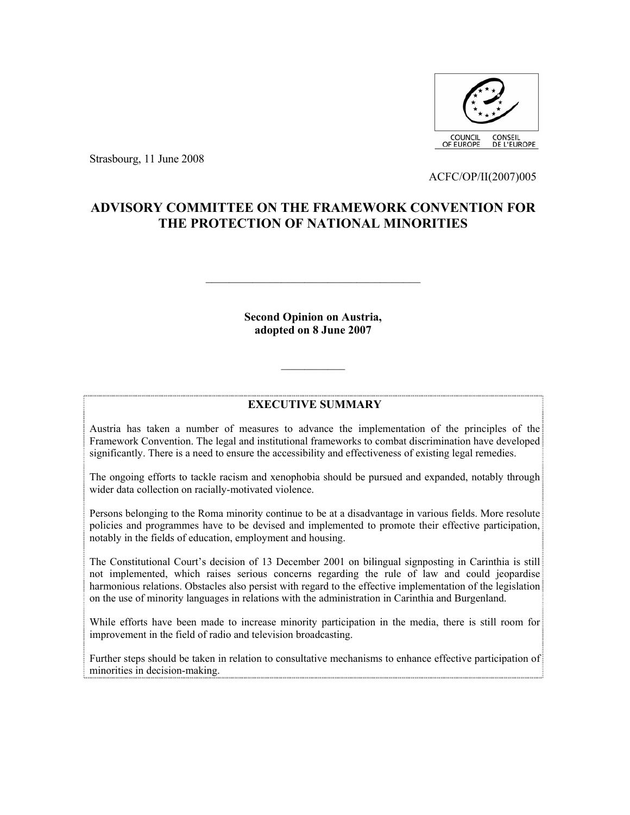

Strasbourg, 11 June 2008

ACFC/OP/II(2007)005

# **ADVISORY COMMITTEE ON THE FRAMEWORK CONVENTION FOR THE PROTECTION OF NATIONAL MINORITIES**

**Second Opinion on Austria, adopted on 8 June 2007** 

 $\mathcal{L}_\text{max}$ 

## **EXECUTIVE SUMMARY**

 $\mathcal{L}_\text{max}$ 

Austria has taken a number of measures to advance the implementation of the principles of the Framework Convention. The legal and institutional frameworks to combat discrimination have developed significantly. There is a need to ensure the accessibility and effectiveness of existing legal remedies.

The ongoing efforts to tackle racism and xenophobia should be pursued and expanded, notably through wider data collection on racially-motivated violence.

Persons belonging to the Roma minority continue to be at a disadvantage in various fields. More resolute policies and programmes have to be devised and implemented to promote their effective participation, notably in the fields of education, employment and housing.

The Constitutional Court's decision of 13 December 2001 on bilingual signposting in Carinthia is still not implemented, which raises serious concerns regarding the rule of law and could jeopardise harmonious relations. Obstacles also persist with regard to the effective implementation of the legislation on the use of minority languages in relations with the administration in Carinthia and Burgenland.

While efforts have been made to increase minority participation in the media, there is still room for improvement in the field of radio and television broadcasting.

Further steps should be taken in relation to consultative mechanisms to enhance effective participation of minorities in decision-making.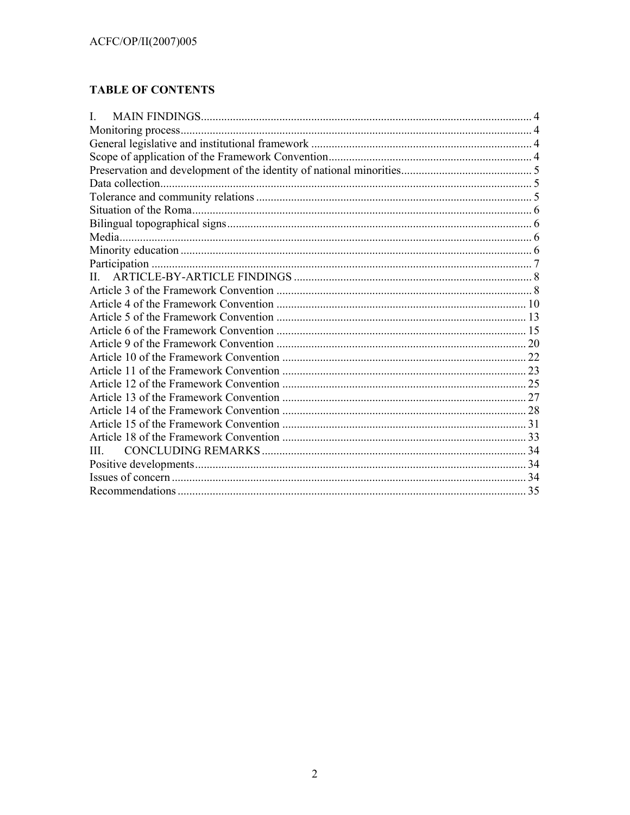# **TABLE OF CONTENTS**

| L |  |
|---|--|
|   |  |
|   |  |
|   |  |
|   |  |
|   |  |
|   |  |
|   |  |
|   |  |
|   |  |
|   |  |
|   |  |
|   |  |
|   |  |
|   |  |
|   |  |
|   |  |
|   |  |
|   |  |
|   |  |
|   |  |
|   |  |
|   |  |
|   |  |
|   |  |
| Ш |  |
|   |  |
|   |  |
|   |  |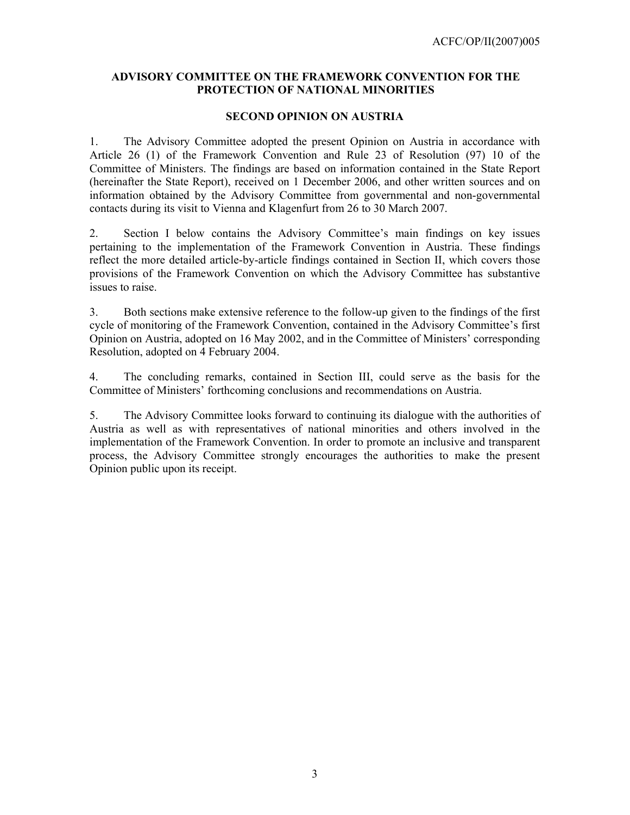## **ADVISORY COMMITTEE ON THE FRAMEWORK CONVENTION FOR THE PROTECTION OF NATIONAL MINORITIES**

#### **SECOND OPINION ON AUSTRIA**

1. The Advisory Committee adopted the present Opinion on Austria in accordance with Article 26 (1) of the Framework Convention and Rule 23 of Resolution (97) 10 of the Committee of Ministers. The findings are based on information contained in the State Report (hereinafter the State Report), received on 1 December 2006, and other written sources and on information obtained by the Advisory Committee from governmental and non-governmental contacts during its visit to Vienna and Klagenfurt from 26 to 30 March 2007.

2. Section I below contains the Advisory Committee's main findings on key issues pertaining to the implementation of the Framework Convention in Austria. These findings reflect the more detailed article-by-article findings contained in Section II, which covers those provisions of the Framework Convention on which the Advisory Committee has substantive issues to raise.

3. Both sections make extensive reference to the follow-up given to the findings of the first cycle of monitoring of the Framework Convention, contained in the Advisory Committee's first Opinion on Austria, adopted on 16 May 2002, and in the Committee of Ministers' corresponding Resolution, adopted on 4 February 2004.

4. The concluding remarks, contained in Section III, could serve as the basis for the Committee of Ministers' forthcoming conclusions and recommendations on Austria.

5. The Advisory Committee looks forward to continuing its dialogue with the authorities of Austria as well as with representatives of national minorities and others involved in the implementation of the Framework Convention. In order to promote an inclusive and transparent process, the Advisory Committee strongly encourages the authorities to make the present Opinion public upon its receipt.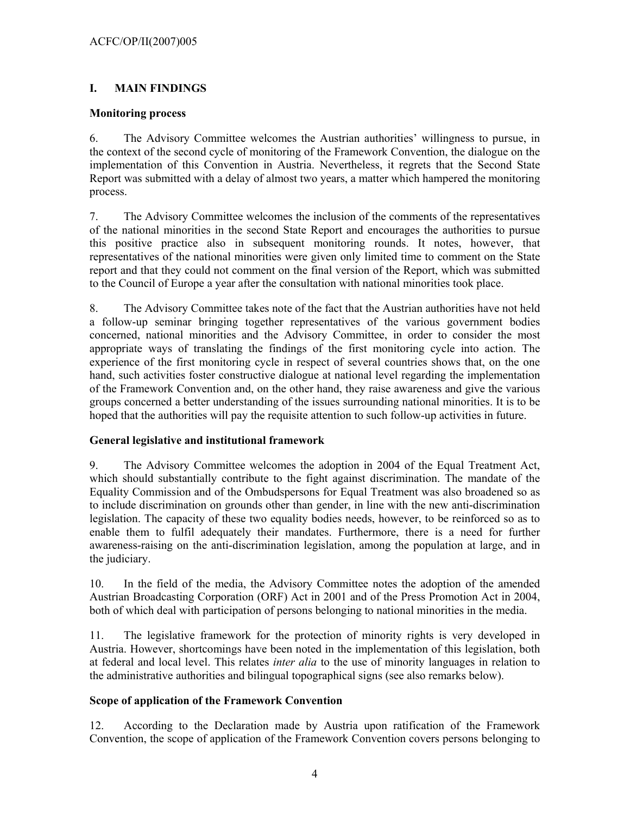## **I. MAIN FINDINGS**

## **Monitoring process**

6. The Advisory Committee welcomes the Austrian authorities' willingness to pursue, in the context of the second cycle of monitoring of the Framework Convention, the dialogue on the implementation of this Convention in Austria. Nevertheless, it regrets that the Second State Report was submitted with a delay of almost two years, a matter which hampered the monitoring process.

7. The Advisory Committee welcomes the inclusion of the comments of the representatives of the national minorities in the second State Report and encourages the authorities to pursue this positive practice also in subsequent monitoring rounds. It notes, however, that representatives of the national minorities were given only limited time to comment on the State report and that they could not comment on the final version of the Report, which was submitted to the Council of Europe a year after the consultation with national minorities took place.

8. The Advisory Committee takes note of the fact that the Austrian authorities have not held a follow-up seminar bringing together representatives of the various government bodies concerned, national minorities and the Advisory Committee, in order to consider the most appropriate ways of translating the findings of the first monitoring cycle into action. The experience of the first monitoring cycle in respect of several countries shows that, on the one hand, such activities foster constructive dialogue at national level regarding the implementation of the Framework Convention and, on the other hand, they raise awareness and give the various groups concerned a better understanding of the issues surrounding national minorities. It is to be hoped that the authorities will pay the requisite attention to such follow-up activities in future.

## **General legislative and institutional framework**

9. The Advisory Committee welcomes the adoption in 2004 of the Equal Treatment Act, which should substantially contribute to the fight against discrimination. The mandate of the Equality Commission and of the Ombudspersons for Equal Treatment was also broadened so as to include discrimination on grounds other than gender, in line with the new anti-discrimination legislation. The capacity of these two equality bodies needs, however, to be reinforced so as to enable them to fulfil adequately their mandates. Furthermore, there is a need for further awareness-raising on the anti-discrimination legislation, among the population at large, and in the judiciary.

10. In the field of the media, the Advisory Committee notes the adoption of the amended Austrian Broadcasting Corporation (ORF) Act in 2001 and of the Press Promotion Act in 2004, both of which deal with participation of persons belonging to national minorities in the media.

11. The legislative framework for the protection of minority rights is very developed in Austria. However, shortcomings have been noted in the implementation of this legislation, both at federal and local level. This relates *inter alia* to the use of minority languages in relation to the administrative authorities and bilingual topographical signs (see also remarks below).

## **Scope of application of the Framework Convention**

12. According to the Declaration made by Austria upon ratification of the Framework Convention, the scope of application of the Framework Convention covers persons belonging to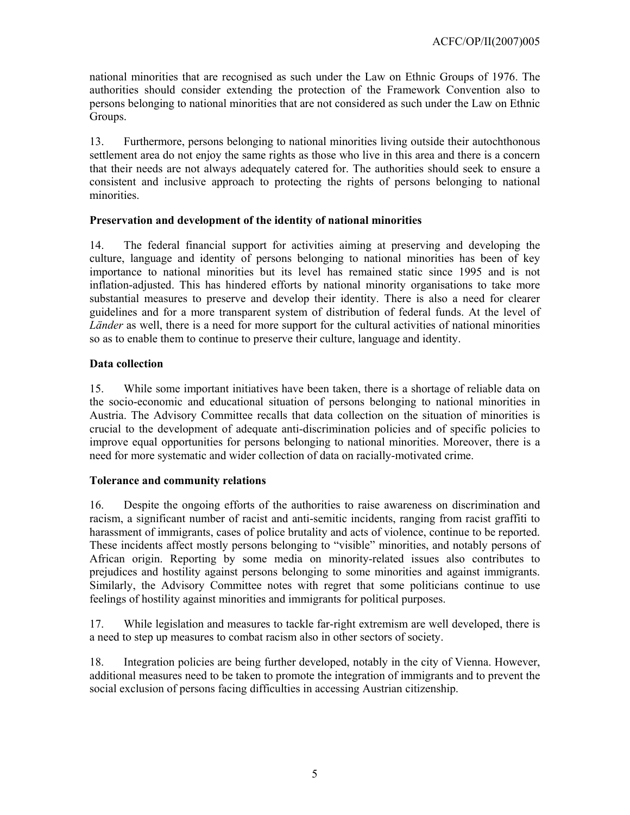national minorities that are recognised as such under the Law on Ethnic Groups of 1976. The authorities should consider extending the protection of the Framework Convention also to persons belonging to national minorities that are not considered as such under the Law on Ethnic Groups.

13. Furthermore, persons belonging to national minorities living outside their autochthonous settlement area do not enjoy the same rights as those who live in this area and there is a concern that their needs are not always adequately catered for. The authorities should seek to ensure a consistent and inclusive approach to protecting the rights of persons belonging to national minorities.

## **Preservation and development of the identity of national minorities**

14. The federal financial support for activities aiming at preserving and developing the culture, language and identity of persons belonging to national minorities has been of key importance to national minorities but its level has remained static since 1995 and is not inflation-adjusted. This has hindered efforts by national minority organisations to take more substantial measures to preserve and develop their identity. There is also a need for clearer guidelines and for a more transparent system of distribution of federal funds. At the level of *Länder* as well, there is a need for more support for the cultural activities of national minorities so as to enable them to continue to preserve their culture, language and identity.

## **Data collection**

15. While some important initiatives have been taken, there is a shortage of reliable data on the socio-economic and educational situation of persons belonging to national minorities in Austria. The Advisory Committee recalls that data collection on the situation of minorities is crucial to the development of adequate anti-discrimination policies and of specific policies to improve equal opportunities for persons belonging to national minorities. Moreover, there is a need for more systematic and wider collection of data on racially-motivated crime.

## **Tolerance and community relations**

16. Despite the ongoing efforts of the authorities to raise awareness on discrimination and racism, a significant number of racist and anti-semitic incidents, ranging from racist graffiti to harassment of immigrants, cases of police brutality and acts of violence, continue to be reported. These incidents affect mostly persons belonging to "visible" minorities, and notably persons of African origin. Reporting by some media on minority-related issues also contributes to prejudices and hostility against persons belonging to some minorities and against immigrants. Similarly, the Advisory Committee notes with regret that some politicians continue to use feelings of hostility against minorities and immigrants for political purposes.

17. While legislation and measures to tackle far-right extremism are well developed, there is a need to step up measures to combat racism also in other sectors of society.

18. Integration policies are being further developed, notably in the city of Vienna. However, additional measures need to be taken to promote the integration of immigrants and to prevent the social exclusion of persons facing difficulties in accessing Austrian citizenship.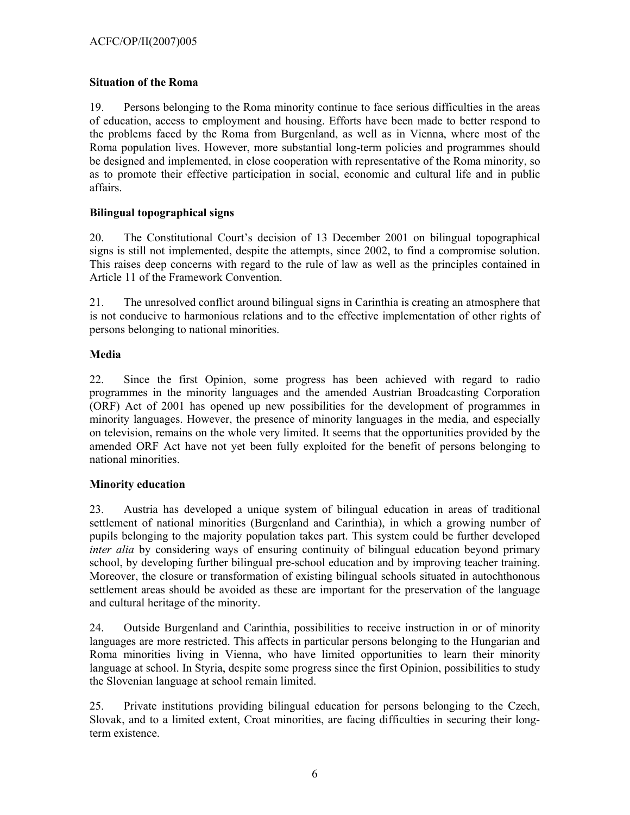## **Situation of the Roma**

19. Persons belonging to the Roma minority continue to face serious difficulties in the areas of education, access to employment and housing. Efforts have been made to better respond to the problems faced by the Roma from Burgenland, as well as in Vienna, where most of the Roma population lives. However, more substantial long-term policies and programmes should be designed and implemented, in close cooperation with representative of the Roma minority, so as to promote their effective participation in social, economic and cultural life and in public affairs.

## **Bilingual topographical signs**

20. The Constitutional Court's decision of 13 December 2001 on bilingual topographical signs is still not implemented, despite the attempts, since 2002, to find a compromise solution. This raises deep concerns with regard to the rule of law as well as the principles contained in Article 11 of the Framework Convention.

21. The unresolved conflict around bilingual signs in Carinthia is creating an atmosphere that is not conducive to harmonious relations and to the effective implementation of other rights of persons belonging to national minorities.

## **Media**

22. Since the first Opinion, some progress has been achieved with regard to radio programmes in the minority languages and the amended Austrian Broadcasting Corporation (ORF) Act of 2001 has opened up new possibilities for the development of programmes in minority languages. However, the presence of minority languages in the media, and especially on television, remains on the whole very limited. It seems that the opportunities provided by the amended ORF Act have not yet been fully exploited for the benefit of persons belonging to national minorities.

## **Minority education**

23. Austria has developed a unique system of bilingual education in areas of traditional settlement of national minorities (Burgenland and Carinthia), in which a growing number of pupils belonging to the majority population takes part. This system could be further developed *inter alia* by considering ways of ensuring continuity of bilingual education beyond primary school, by developing further bilingual pre-school education and by improving teacher training. Moreover, the closure or transformation of existing bilingual schools situated in autochthonous settlement areas should be avoided as these are important for the preservation of the language and cultural heritage of the minority.

24. Outside Burgenland and Carinthia, possibilities to receive instruction in or of minority languages are more restricted. This affects in particular persons belonging to the Hungarian and Roma minorities living in Vienna, who have limited opportunities to learn their minority language at school. In Styria, despite some progress since the first Opinion, possibilities to study the Slovenian language at school remain limited.

25. Private institutions providing bilingual education for persons belonging to the Czech, Slovak, and to a limited extent, Croat minorities, are facing difficulties in securing their longterm existence.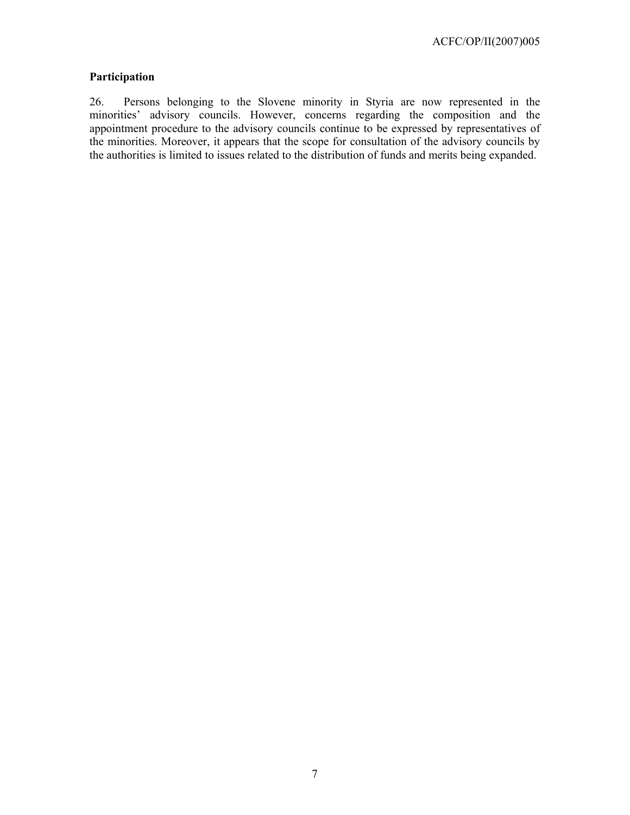## **Participation**

26. Persons belonging to the Slovene minority in Styria are now represented in the minorities' advisory councils. However, concerns regarding the composition and the appointment procedure to the advisory councils continue to be expressed by representatives of the minorities. Moreover, it appears that the scope for consultation of the advisory councils by the authorities is limited to issues related to the distribution of funds and merits being expanded.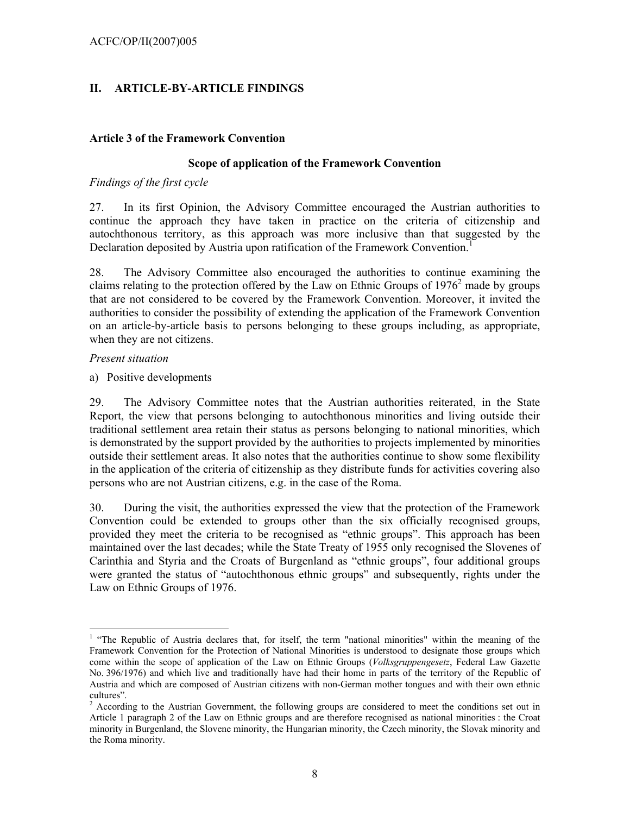## **II. ARTICLE-BY-ARTICLE FINDINGS**

### **Article 3 of the Framework Convention**

#### **Scope of application of the Framework Convention**

### *Findings of the first cycle*

27. In its first Opinion, the Advisory Committee encouraged the Austrian authorities to continue the approach they have taken in practice on the criteria of citizenship and autochthonous territory, as this approach was more inclusive than that suggested by the Declaration deposited by Austria upon ratification of the Framework Convention.<sup>1</sup>

28. The Advisory Committee also encouraged the authorities to continue examining the claims relating to the protection offered by the Law on Ethnic Groups of  $1976<sup>2</sup>$  made by groups that are not considered to be covered by the Framework Convention. Moreover, it invited the authorities to consider the possibility of extending the application of the Framework Convention on an article-by-article basis to persons belonging to these groups including, as appropriate, when they are not citizens.

### *Present situation*

 $\overline{\phantom{a}}$ 

a) Positive developments

29. The Advisory Committee notes that the Austrian authorities reiterated, in the State Report, the view that persons belonging to autochthonous minorities and living outside their traditional settlement area retain their status as persons belonging to national minorities, which is demonstrated by the support provided by the authorities to projects implemented by minorities outside their settlement areas. It also notes that the authorities continue to show some flexibility in the application of the criteria of citizenship as they distribute funds for activities covering also persons who are not Austrian citizens, e.g. in the case of the Roma.

30. During the visit, the authorities expressed the view that the protection of the Framework Convention could be extended to groups other than the six officially recognised groups, provided they meet the criteria to be recognised as "ethnic groups". This approach has been maintained over the last decades; while the State Treaty of 1955 only recognised the Slovenes of Carinthia and Styria and the Croats of Burgenland as "ethnic groups", four additional groups were granted the status of "autochthonous ethnic groups" and subsequently, rights under the Law on Ethnic Groups of 1976.

<sup>&</sup>lt;sup>1</sup> "The Republic of Austria declares that, for itself, the term "national minorities" within the meaning of the Framework Convention for the Protection of National Minorities is understood to designate those groups which come within the scope of application of the Law on Ethnic Groups (*Volksgruppengesetz*, Federal Law Gazette No. 396/1976) and which live and traditionally have had their home in parts of the territory of the Republic of Austria and which are composed of Austrian citizens with non-German mother tongues and with their own ethnic cultures".

 $2^2$  According to the Austrian Government, the following groups are considered to meet the conditions set out in Article 1 paragraph 2 of the Law on Ethnic groups and are therefore recognised as national minorities : the Croat minority in Burgenland, the Slovene minority, the Hungarian minority, the Czech minority, the Slovak minority and the Roma minority.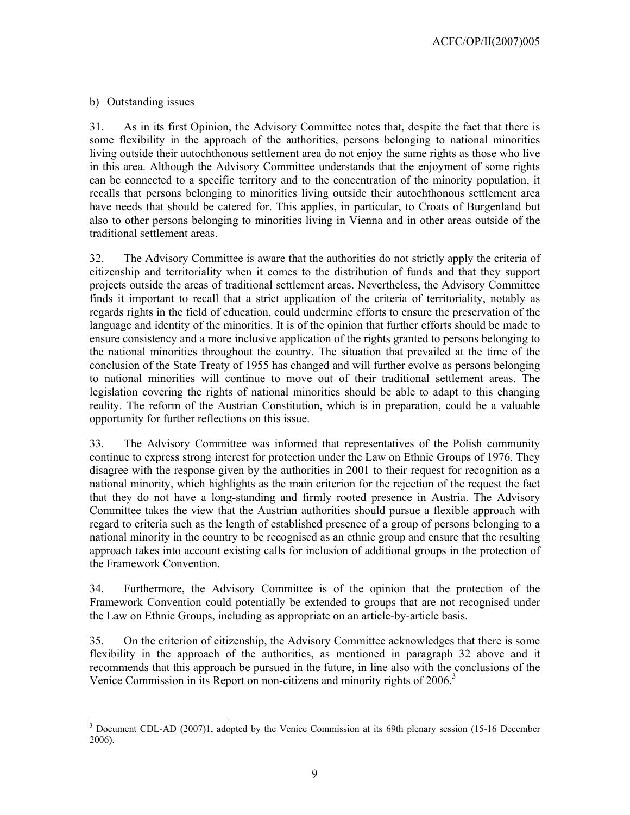## b) Outstanding issues

31. As in its first Opinion, the Advisory Committee notes that, despite the fact that there is some flexibility in the approach of the authorities, persons belonging to national minorities living outside their autochthonous settlement area do not enjoy the same rights as those who live in this area. Although the Advisory Committee understands that the enjoyment of some rights can be connected to a specific territory and to the concentration of the minority population, it recalls that persons belonging to minorities living outside their autochthonous settlement area have needs that should be catered for. This applies, in particular, to Croats of Burgenland but also to other persons belonging to minorities living in Vienna and in other areas outside of the traditional settlement areas.

32. The Advisory Committee is aware that the authorities do not strictly apply the criteria of citizenship and territoriality when it comes to the distribution of funds and that they support projects outside the areas of traditional settlement areas. Nevertheless, the Advisory Committee finds it important to recall that a strict application of the criteria of territoriality, notably as regards rights in the field of education, could undermine efforts to ensure the preservation of the language and identity of the minorities. It is of the opinion that further efforts should be made to ensure consistency and a more inclusive application of the rights granted to persons belonging to the national minorities throughout the country. The situation that prevailed at the time of the conclusion of the State Treaty of 1955 has changed and will further evolve as persons belonging to national minorities will continue to move out of their traditional settlement areas. The legislation covering the rights of national minorities should be able to adapt to this changing reality. The reform of the Austrian Constitution, which is in preparation, could be a valuable opportunity for further reflections on this issue.

33. The Advisory Committee was informed that representatives of the Polish community continue to express strong interest for protection under the Law on Ethnic Groups of 1976. They disagree with the response given by the authorities in 2001 to their request for recognition as a national minority, which highlights as the main criterion for the rejection of the request the fact that they do not have a long-standing and firmly rooted presence in Austria. The Advisory Committee takes the view that the Austrian authorities should pursue a flexible approach with regard to criteria such as the length of established presence of a group of persons belonging to a national minority in the country to be recognised as an ethnic group and ensure that the resulting approach takes into account existing calls for inclusion of additional groups in the protection of the Framework Convention.

34. Furthermore, the Advisory Committee is of the opinion that the protection of the Framework Convention could potentially be extended to groups that are not recognised under the Law on Ethnic Groups, including as appropriate on an article-by-article basis.

35. On the criterion of citizenship, the Advisory Committee acknowledges that there is some flexibility in the approach of the authorities, as mentioned in paragraph 32 above and it recommends that this approach be pursued in the future, in line also with the conclusions of the Venice Commission in its Report on non-citizens and minority rights of 2006.<sup>3</sup>

 $\overline{a}$ <sup>3</sup> Document CDL-AD (2007)1, adopted by the Venice Commission at its 69th plenary session (15-16 December 2006).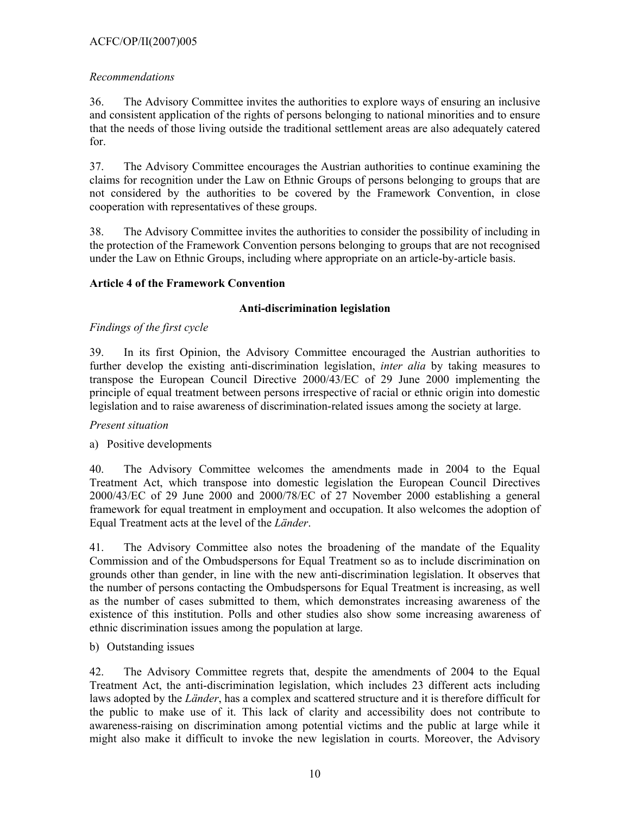## ACFC/OP/II(2007)005

## *Recommendations*

36. The Advisory Committee invites the authorities to explore ways of ensuring an inclusive and consistent application of the rights of persons belonging to national minorities and to ensure that the needs of those living outside the traditional settlement areas are also adequately catered for.

37. The Advisory Committee encourages the Austrian authorities to continue examining the claims for recognition under the Law on Ethnic Groups of persons belonging to groups that are not considered by the authorities to be covered by the Framework Convention, in close cooperation with representatives of these groups.

38. The Advisory Committee invites the authorities to consider the possibility of including in the protection of the Framework Convention persons belonging to groups that are not recognised under the Law on Ethnic Groups, including where appropriate on an article-by-article basis.

## **Article 4 of the Framework Convention**

## **Anti-discrimination legislation**

## *Findings of the first cycle*

39. In its first Opinion, the Advisory Committee encouraged the Austrian authorities to further develop the existing anti-discrimination legislation, *inter alia* by taking measures to transpose the European Council Directive 2000/43/EC of 29 June 2000 implementing the principle of equal treatment between persons irrespective of racial or ethnic origin into domestic legislation and to raise awareness of discrimination-related issues among the society at large.

## *Present situation*

## a) Positive developments

40. The Advisory Committee welcomes the amendments made in 2004 to the Equal Treatment Act, which transpose into domestic legislation the European Council Directives 2000/43/EC of 29 June 2000 and 2000/78/EC of 27 November 2000 establishing a general framework for equal treatment in employment and occupation. It also welcomes the adoption of Equal Treatment acts at the level of the *Länder*.

41. The Advisory Committee also notes the broadening of the mandate of the Equality Commission and of the Ombudspersons for Equal Treatment so as to include discrimination on grounds other than gender, in line with the new anti-discrimination legislation. It observes that the number of persons contacting the Ombudspersons for Equal Treatment is increasing, as well as the number of cases submitted to them, which demonstrates increasing awareness of the existence of this institution. Polls and other studies also show some increasing awareness of ethnic discrimination issues among the population at large.

b) Outstanding issues

42. The Advisory Committee regrets that, despite the amendments of 2004 to the Equal Treatment Act, the anti-discrimination legislation, which includes 23 different acts including laws adopted by the *Länder*, has a complex and scattered structure and it is therefore difficult for the public to make use of it. This lack of clarity and accessibility does not contribute to awareness-raising on discrimination among potential victims and the public at large while it might also make it difficult to invoke the new legislation in courts. Moreover, the Advisory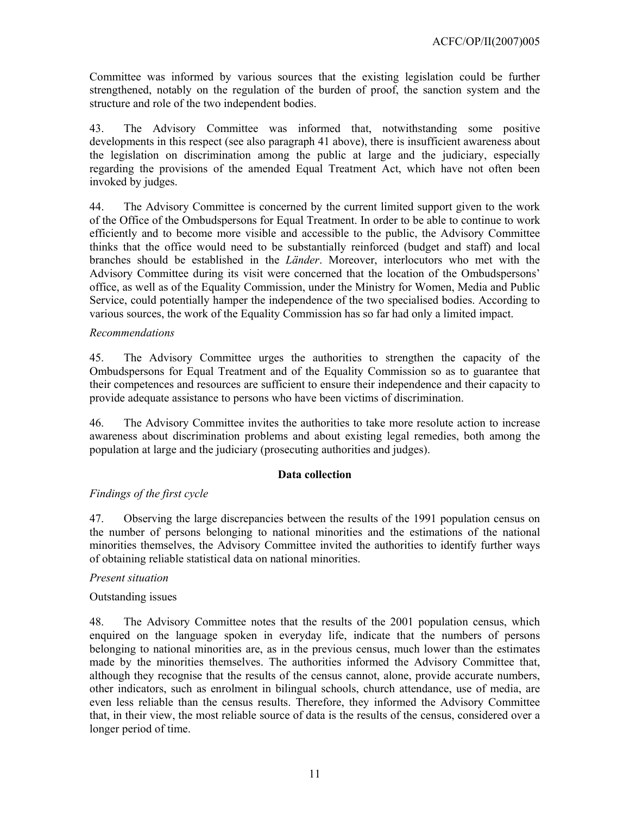Committee was informed by various sources that the existing legislation could be further strengthened, notably on the regulation of the burden of proof, the sanction system and the structure and role of the two independent bodies.

43. The Advisory Committee was informed that, notwithstanding some positive developments in this respect (see also paragraph 41 above), there is insufficient awareness about the legislation on discrimination among the public at large and the judiciary, especially regarding the provisions of the amended Equal Treatment Act, which have not often been invoked by judges.

44. The Advisory Committee is concerned by the current limited support given to the work of the Office of the Ombudspersons for Equal Treatment. In order to be able to continue to work efficiently and to become more visible and accessible to the public, the Advisory Committee thinks that the office would need to be substantially reinforced (budget and staff) and local branches should be established in the *Länder*. Moreover, interlocutors who met with the Advisory Committee during its visit were concerned that the location of the Ombudspersons' office, as well as of the Equality Commission, under the Ministry for Women, Media and Public Service, could potentially hamper the independence of the two specialised bodies. According to various sources, the work of the Equality Commission has so far had only a limited impact.

### *Recommendations*

45. The Advisory Committee urges the authorities to strengthen the capacity of the Ombudspersons for Equal Treatment and of the Equality Commission so as to guarantee that their competences and resources are sufficient to ensure their independence and their capacity to provide adequate assistance to persons who have been victims of discrimination.

46. The Advisory Committee invites the authorities to take more resolute action to increase awareness about discrimination problems and about existing legal remedies, both among the population at large and the judiciary (prosecuting authorities and judges).

#### **Data collection**

## *Findings of the first cycle*

47. Observing the large discrepancies between the results of the 1991 population census on the number of persons belonging to national minorities and the estimations of the national minorities themselves, the Advisory Committee invited the authorities to identify further ways of obtaining reliable statistical data on national minorities.

#### *Present situation*

#### Outstanding issues

48. The Advisory Committee notes that the results of the 2001 population census, which enquired on the language spoken in everyday life, indicate that the numbers of persons belonging to national minorities are, as in the previous census, much lower than the estimates made by the minorities themselves. The authorities informed the Advisory Committee that, although they recognise that the results of the census cannot, alone, provide accurate numbers, other indicators, such as enrolment in bilingual schools, church attendance, use of media, are even less reliable than the census results. Therefore, they informed the Advisory Committee that, in their view, the most reliable source of data is the results of the census, considered over a longer period of time.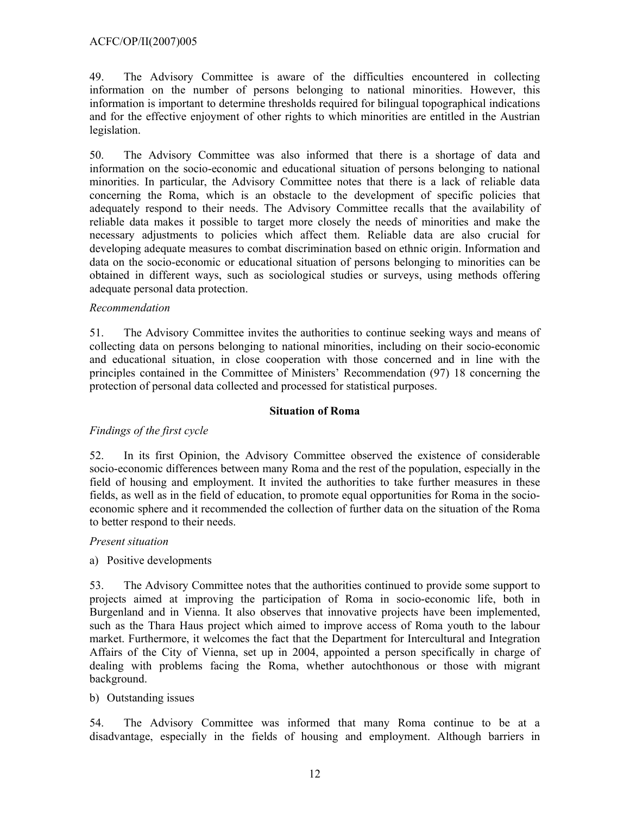### ACFC/OP/II(2007)005

49. The Advisory Committee is aware of the difficulties encountered in collecting information on the number of persons belonging to national minorities. However, this information is important to determine thresholds required for bilingual topographical indications and for the effective enjoyment of other rights to which minorities are entitled in the Austrian legislation.

50. The Advisory Committee was also informed that there is a shortage of data and information on the socio-economic and educational situation of persons belonging to national minorities. In particular, the Advisory Committee notes that there is a lack of reliable data concerning the Roma, which is an obstacle to the development of specific policies that adequately respond to their needs. The Advisory Committee recalls that the availability of reliable data makes it possible to target more closely the needs of minorities and make the necessary adjustments to policies which affect them. Reliable data are also crucial for developing adequate measures to combat discrimination based on ethnic origin. Information and data on the socio-economic or educational situation of persons belonging to minorities can be obtained in different ways, such as sociological studies or surveys, using methods offering adequate personal data protection.

### *Recommendation*

51. The Advisory Committee invites the authorities to continue seeking ways and means of collecting data on persons belonging to national minorities, including on their socio-economic and educational situation, in close cooperation with those concerned and in line with the principles contained in the Committee of Ministers' Recommendation (97) 18 concerning the protection of personal data collected and processed for statistical purposes.

#### **Situation of Roma**

## *Findings of the first cycle*

52. In its first Opinion, the Advisory Committee observed the existence of considerable socio-economic differences between many Roma and the rest of the population, especially in the field of housing and employment. It invited the authorities to take further measures in these fields, as well as in the field of education, to promote equal opportunities for Roma in the socioeconomic sphere and it recommended the collection of further data on the situation of the Roma to better respond to their needs.

#### *Present situation*

a) Positive developments

53. The Advisory Committee notes that the authorities continued to provide some support to projects aimed at improving the participation of Roma in socio-economic life, both in Burgenland and in Vienna. It also observes that innovative projects have been implemented, such as the Thara Haus project which aimed to improve access of Roma youth to the labour market. Furthermore, it welcomes the fact that the Department for Intercultural and Integration Affairs of the City of Vienna, set up in 2004, appointed a person specifically in charge of dealing with problems facing the Roma, whether autochthonous or those with migrant background.

#### b) Outstanding issues

54. The Advisory Committee was informed that many Roma continue to be at a disadvantage, especially in the fields of housing and employment. Although barriers in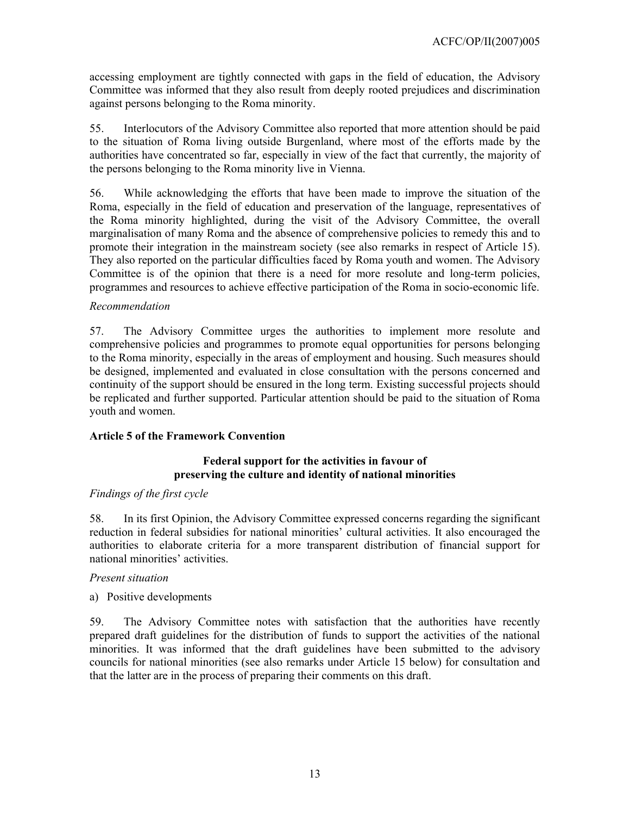accessing employment are tightly connected with gaps in the field of education, the Advisory Committee was informed that they also result from deeply rooted prejudices and discrimination against persons belonging to the Roma minority.

55. Interlocutors of the Advisory Committee also reported that more attention should be paid to the situation of Roma living outside Burgenland, where most of the efforts made by the authorities have concentrated so far, especially in view of the fact that currently, the majority of the persons belonging to the Roma minority live in Vienna.

56. While acknowledging the efforts that have been made to improve the situation of the Roma, especially in the field of education and preservation of the language, representatives of the Roma minority highlighted, during the visit of the Advisory Committee, the overall marginalisation of many Roma and the absence of comprehensive policies to remedy this and to promote their integration in the mainstream society (see also remarks in respect of Article 15). They also reported on the particular difficulties faced by Roma youth and women. The Advisory Committee is of the opinion that there is a need for more resolute and long-term policies, programmes and resources to achieve effective participation of the Roma in socio-economic life.

### *Recommendation*

57. The Advisory Committee urges the authorities to implement more resolute and comprehensive policies and programmes to promote equal opportunities for persons belonging to the Roma minority, especially in the areas of employment and housing. Such measures should be designed, implemented and evaluated in close consultation with the persons concerned and continuity of the support should be ensured in the long term. Existing successful projects should be replicated and further supported. Particular attention should be paid to the situation of Roma youth and women.

## **Article 5 of the Framework Convention**

## **Federal support for the activities in favour of preserving the culture and identity of national minorities**

## *Findings of the first cycle*

58. In its first Opinion, the Advisory Committee expressed concerns regarding the significant reduction in federal subsidies for national minorities' cultural activities. It also encouraged the authorities to elaborate criteria for a more transparent distribution of financial support for national minorities' activities.

#### *Present situation*

a) Positive developments

59. The Advisory Committee notes with satisfaction that the authorities have recently prepared draft guidelines for the distribution of funds to support the activities of the national minorities. It was informed that the draft guidelines have been submitted to the advisory councils for national minorities (see also remarks under Article 15 below) for consultation and that the latter are in the process of preparing their comments on this draft.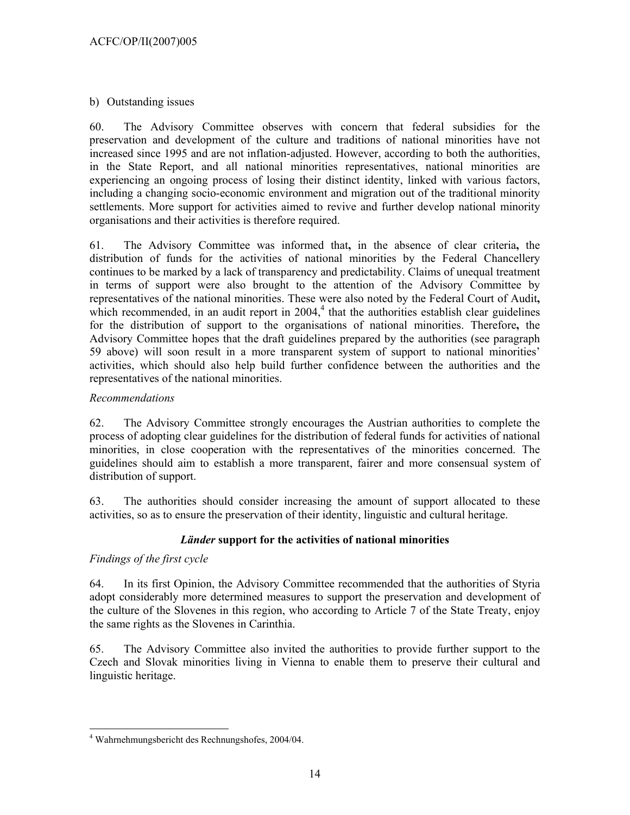b) Outstanding issues

60. The Advisory Committee observes with concern that federal subsidies for the preservation and development of the culture and traditions of national minorities have not increased since 1995 and are not inflation-adjusted. However, according to both the authorities, in the State Report, and all national minorities representatives, national minorities are experiencing an ongoing process of losing their distinct identity, linked with various factors, including a changing socio-economic environment and migration out of the traditional minority settlements. More support for activities aimed to revive and further develop national minority organisations and their activities is therefore required.

61. The Advisory Committee was informed that**,** in the absence of clear criteria**,** the distribution of funds for the activities of national minorities by the Federal Chancellery continues to be marked by a lack of transparency and predictability. Claims of unequal treatment in terms of support were also brought to the attention of the Advisory Committee by representatives of the national minorities. These were also noted by the Federal Court of Audit**,**  which recommended, in an audit report in  $2004<sup>4</sup>$ , that the authorities establish clear guidelines for the distribution of support to the organisations of national minorities. Therefore**,** the Advisory Committee hopes that the draft guidelines prepared by the authorities (see paragraph 59 above) will soon result in a more transparent system of support to national minorities' activities, which should also help build further confidence between the authorities and the representatives of the national minorities.

## *Recommendations*

62. The Advisory Committee strongly encourages the Austrian authorities to complete the process of adopting clear guidelines for the distribution of federal funds for activities of national minorities, in close cooperation with the representatives of the minorities concerned. The guidelines should aim to establish a more transparent, fairer and more consensual system of distribution of support.

63. The authorities should consider increasing the amount of support allocated to these activities, so as to ensure the preservation of their identity, linguistic and cultural heritage.

## *Länder* **support for the activities of national minorities**

## *Findings of the first cycle*

64. In its first Opinion, the Advisory Committee recommended that the authorities of Styria adopt considerably more determined measures to support the preservation and development of the culture of the Slovenes in this region, who according to Article 7 of the State Treaty, enjoy the same rights as the Slovenes in Carinthia.

65. The Advisory Committee also invited the authorities to provide further support to the Czech and Slovak minorities living in Vienna to enable them to preserve their cultural and linguistic heritage.

 $\overline{a}$ 4 Wahrnehmungsbericht des Rechnungshofes, 2004/04.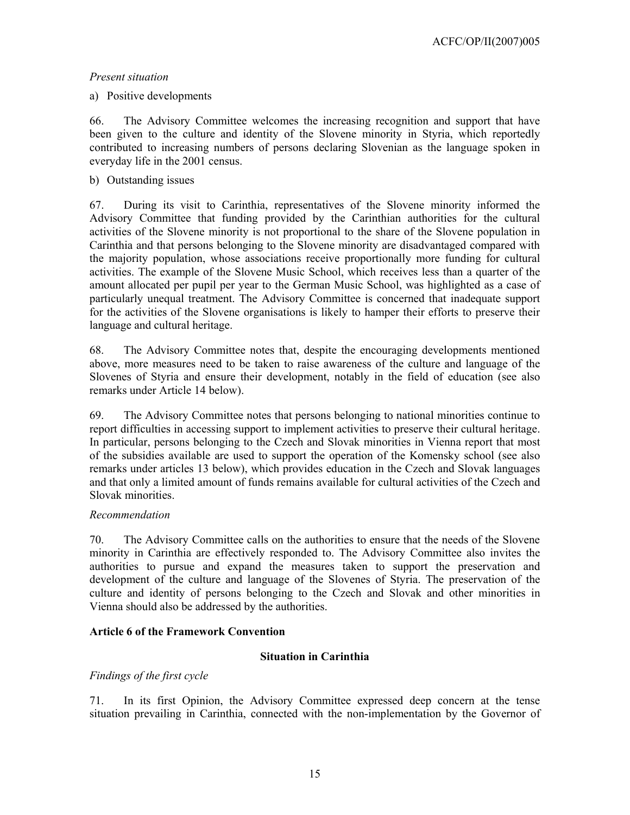## a) Positive developments

66. The Advisory Committee welcomes the increasing recognition and support that have been given to the culture and identity of the Slovene minority in Styria, which reportedly contributed to increasing numbers of persons declaring Slovenian as the language spoken in everyday life in the 2001 census.

## b) Outstanding issues

67. During its visit to Carinthia, representatives of the Slovene minority informed the Advisory Committee that funding provided by the Carinthian authorities for the cultural activities of the Slovene minority is not proportional to the share of the Slovene population in Carinthia and that persons belonging to the Slovene minority are disadvantaged compared with the majority population, whose associations receive proportionally more funding for cultural activities. The example of the Slovene Music School, which receives less than a quarter of the amount allocated per pupil per year to the German Music School, was highlighted as a case of particularly unequal treatment. The Advisory Committee is concerned that inadequate support for the activities of the Slovene organisations is likely to hamper their efforts to preserve their language and cultural heritage.

68. The Advisory Committee notes that, despite the encouraging developments mentioned above, more measures need to be taken to raise awareness of the culture and language of the Slovenes of Styria and ensure their development, notably in the field of education (see also remarks under Article 14 below).

69. The Advisory Committee notes that persons belonging to national minorities continue to report difficulties in accessing support to implement activities to preserve their cultural heritage. In particular, persons belonging to the Czech and Slovak minorities in Vienna report that most of the subsidies available are used to support the operation of the Komensky school (see also remarks under articles 13 below), which provides education in the Czech and Slovak languages and that only a limited amount of funds remains available for cultural activities of the Czech and Slovak minorities.

## *Recommendation*

70. The Advisory Committee calls on the authorities to ensure that the needs of the Slovene minority in Carinthia are effectively responded to. The Advisory Committee also invites the authorities to pursue and expand the measures taken to support the preservation and development of the culture and language of the Slovenes of Styria. The preservation of the culture and identity of persons belonging to the Czech and Slovak and other minorities in Vienna should also be addressed by the authorities.

## **Article 6 of the Framework Convention**

## **Situation in Carinthia**

## *Findings of the first cycle*

71. In its first Opinion, the Advisory Committee expressed deep concern at the tense situation prevailing in Carinthia, connected with the non-implementation by the Governor of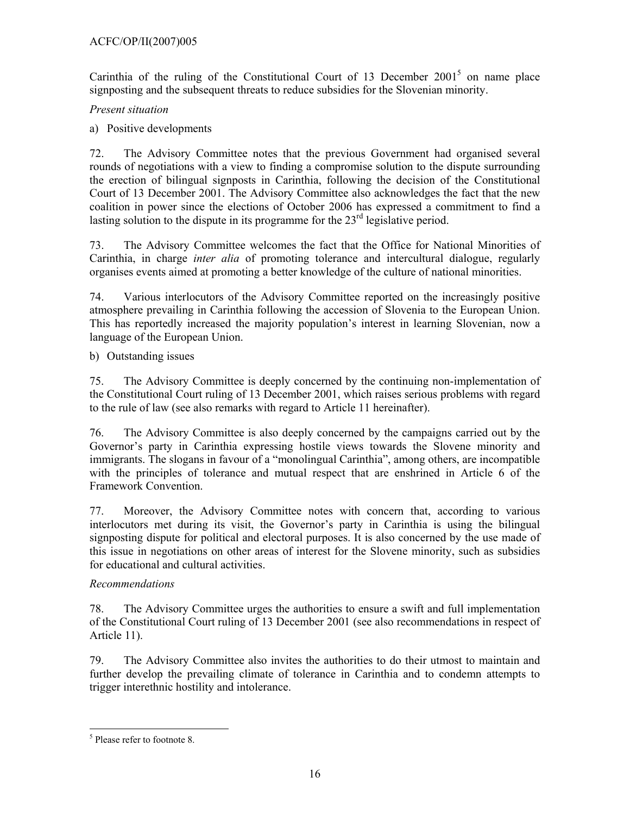## ACFC/OP/II(2007)005

Carinthia of the ruling of the Constitutional Court of 13 December  $2001<sup>5</sup>$  on name place signposting and the subsequent threats to reduce subsidies for the Slovenian minority.

## *Present situation*

a) Positive developments

72. The Advisory Committee notes that the previous Government had organised several rounds of negotiations with a view to finding a compromise solution to the dispute surrounding the erection of bilingual signposts in Carinthia, following the decision of the Constitutional Court of 13 December 2001. The Advisory Committee also acknowledges the fact that the new coalition in power since the elections of October 2006 has expressed a commitment to find a lasting solution to the dispute in its programme for the  $23<sup>rd</sup>$  legislative period.

73. The Advisory Committee welcomes the fact that the Office for National Minorities of Carinthia, in charge *inter alia* of promoting tolerance and intercultural dialogue, regularly organises events aimed at promoting a better knowledge of the culture of national minorities.

74. Various interlocutors of the Advisory Committee reported on the increasingly positive atmosphere prevailing in Carinthia following the accession of Slovenia to the European Union. This has reportedly increased the majority population's interest in learning Slovenian, now a language of the European Union.

b) Outstanding issues

75. The Advisory Committee is deeply concerned by the continuing non-implementation of the Constitutional Court ruling of 13 December 2001, which raises serious problems with regard to the rule of law (see also remarks with regard to Article 11 hereinafter).

76. The Advisory Committee is also deeply concerned by the campaigns carried out by the Governor's party in Carinthia expressing hostile views towards the Slovene minority and immigrants. The slogans in favour of a "monolingual Carinthia", among others, are incompatible with the principles of tolerance and mutual respect that are enshrined in Article 6 of the Framework Convention.

77. Moreover, the Advisory Committee notes with concern that, according to various interlocutors met during its visit, the Governor's party in Carinthia is using the bilingual signposting dispute for political and electoral purposes. It is also concerned by the use made of this issue in negotiations on other areas of interest for the Slovene minority, such as subsidies for educational and cultural activities.

## *Recommendations*

78. The Advisory Committee urges the authorities to ensure a swift and full implementation of the Constitutional Court ruling of 13 December 2001 (see also recommendations in respect of Article 11).

79. The Advisory Committee also invites the authorities to do their utmost to maintain and further develop the prevailing climate of tolerance in Carinthia and to condemn attempts to trigger interethnic hostility and intolerance.

 $\overline{a}$ 5 Please refer to footnote 8.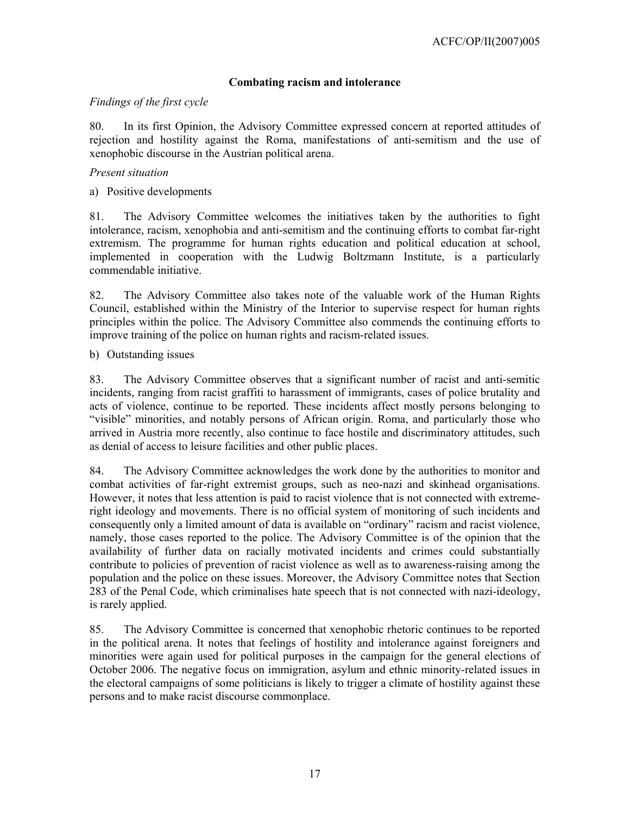## **Combating racism and intolerance**

### *Findings of the first cycle*

80. In its first Opinion, the Advisory Committee expressed concern at reported attitudes of rejection and hostility against the Roma, manifestations of anti-semitism and the use of xenophobic discourse in the Austrian political arena.

### *Present situation*

a) Positive developments

81. The Advisory Committee welcomes the initiatives taken by the authorities to fight intolerance, racism, xenophobia and anti-semitism and the continuing efforts to combat far-right extremism. The programme for human rights education and political education at school, implemented in cooperation with the Ludwig Boltzmann Institute, is a particularly commendable initiative.

82. The Advisory Committee also takes note of the valuable work of the Human Rights Council, established within the Ministry of the Interior to supervise respect for human rights principles within the police. The Advisory Committee also commends the continuing efforts to improve training of the police on human rights and racism-related issues.

### b) Outstanding issues

83. The Advisory Committee observes that a significant number of racist and anti-semitic incidents, ranging from racist graffiti to harassment of immigrants, cases of police brutality and acts of violence, continue to be reported. These incidents affect mostly persons belonging to "visible" minorities, and notably persons of African origin. Roma, and particularly those who arrived in Austria more recently, also continue to face hostile and discriminatory attitudes, such as denial of access to leisure facilities and other public places.

84. The Advisory Committee acknowledges the work done by the authorities to monitor and combat activities of far-right extremist groups, such as neo-nazi and skinhead organisations. However, it notes that less attention is paid to racist violence that is not connected with extremeright ideology and movements. There is no official system of monitoring of such incidents and consequently only a limited amount of data is available on "ordinary" racism and racist violence, namely, those cases reported to the police. The Advisory Committee is of the opinion that the availability of further data on racially motivated incidents and crimes could substantially contribute to policies of prevention of racist violence as well as to awareness-raising among the population and the police on these issues. Moreover, the Advisory Committee notes that Section 283 of the Penal Code, which criminalises hate speech that is not connected with nazi-ideology, is rarely applied.

85. The Advisory Committee is concerned that xenophobic rhetoric continues to be reported in the political arena. It notes that feelings of hostility and intolerance against foreigners and minorities were again used for political purposes in the campaign for the general elections of October 2006. The negative focus on immigration, asylum and ethnic minority-related issues in the electoral campaigns of some politicians is likely to trigger a climate of hostility against these persons and to make racist discourse commonplace.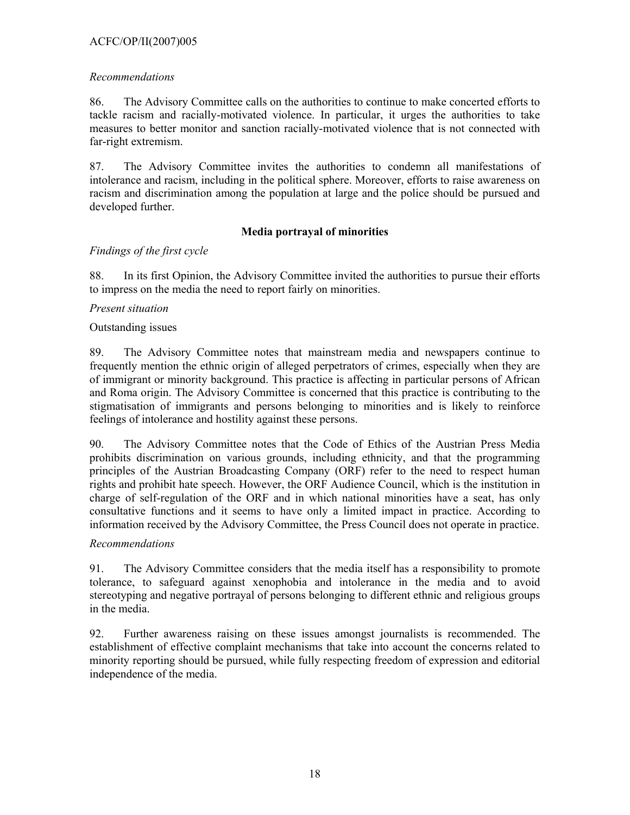## ACFC/OP/II(2007)005

## *Recommendations*

86. The Advisory Committee calls on the authorities to continue to make concerted efforts to tackle racism and racially-motivated violence. In particular, it urges the authorities to take measures to better monitor and sanction racially-motivated violence that is not connected with far-right extremism.

87. The Advisory Committee invites the authorities to condemn all manifestations of intolerance and racism, including in the political sphere. Moreover, efforts to raise awareness on racism and discrimination among the population at large and the police should be pursued and developed further.

## **Media portrayal of minorities**

## *Findings of the first cycle*

88. In its first Opinion, the Advisory Committee invited the authorities to pursue their efforts to impress on the media the need to report fairly on minorities.

## *Present situation*

### Outstanding issues

89. The Advisory Committee notes that mainstream media and newspapers continue to frequently mention the ethnic origin of alleged perpetrators of crimes, especially when they are of immigrant or minority background. This practice is affecting in particular persons of African and Roma origin. The Advisory Committee is concerned that this practice is contributing to the stigmatisation of immigrants and persons belonging to minorities and is likely to reinforce feelings of intolerance and hostility against these persons.

90. The Advisory Committee notes that the Code of Ethics of the Austrian Press Media prohibits discrimination on various grounds, including ethnicity, and that the programming principles of the Austrian Broadcasting Company (ORF) refer to the need to respect human rights and prohibit hate speech. However, the ORF Audience Council, which is the institution in charge of self-regulation of the ORF and in which national minorities have a seat, has only consultative functions and it seems to have only a limited impact in practice. According to information received by the Advisory Committee, the Press Council does not operate in practice.

## *Recommendations*

91. The Advisory Committee considers that the media itself has a responsibility to promote tolerance, to safeguard against xenophobia and intolerance in the media and to avoid stereotyping and negative portrayal of persons belonging to different ethnic and religious groups in the media.

92. Further awareness raising on these issues amongst journalists is recommended. The establishment of effective complaint mechanisms that take into account the concerns related to minority reporting should be pursued, while fully respecting freedom of expression and editorial independence of the media.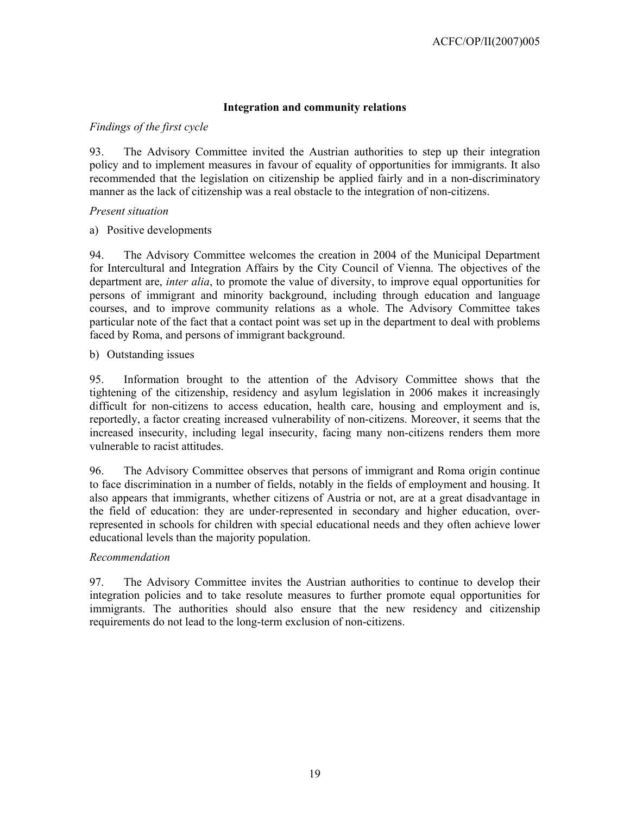## **Integration and community relations**

## *Findings of the first cycle*

93. The Advisory Committee invited the Austrian authorities to step up their integration policy and to implement measures in favour of equality of opportunities for immigrants. It also recommended that the legislation on citizenship be applied fairly and in a non-discriminatory manner as the lack of citizenship was a real obstacle to the integration of non-citizens.

## *Present situation*

a) Positive developments

94. The Advisory Committee welcomes the creation in 2004 of the Municipal Department for Intercultural and Integration Affairs by the City Council of Vienna. The objectives of the department are, *inter alia*, to promote the value of diversity, to improve equal opportunities for persons of immigrant and minority background, including through education and language courses, and to improve community relations as a whole. The Advisory Committee takes particular note of the fact that a contact point was set up in the department to deal with problems faced by Roma, and persons of immigrant background.

## b) Outstanding issues

95. Information brought to the attention of the Advisory Committee shows that the tightening of the citizenship, residency and asylum legislation in 2006 makes it increasingly difficult for non-citizens to access education, health care, housing and employment and is, reportedly, a factor creating increased vulnerability of non-citizens. Moreover, it seems that the increased insecurity, including legal insecurity, facing many non-citizens renders them more vulnerable to racist attitudes.

96. The Advisory Committee observes that persons of immigrant and Roma origin continue to face discrimination in a number of fields, notably in the fields of employment and housing. It also appears that immigrants, whether citizens of Austria or not, are at a great disadvantage in the field of education: they are under-represented in secondary and higher education, overrepresented in schools for children with special educational needs and they often achieve lower educational levels than the majority population.

## *Recommendation*

97. The Advisory Committee invites the Austrian authorities to continue to develop their integration policies and to take resolute measures to further promote equal opportunities for immigrants. The authorities should also ensure that the new residency and citizenship requirements do not lead to the long-term exclusion of non-citizens.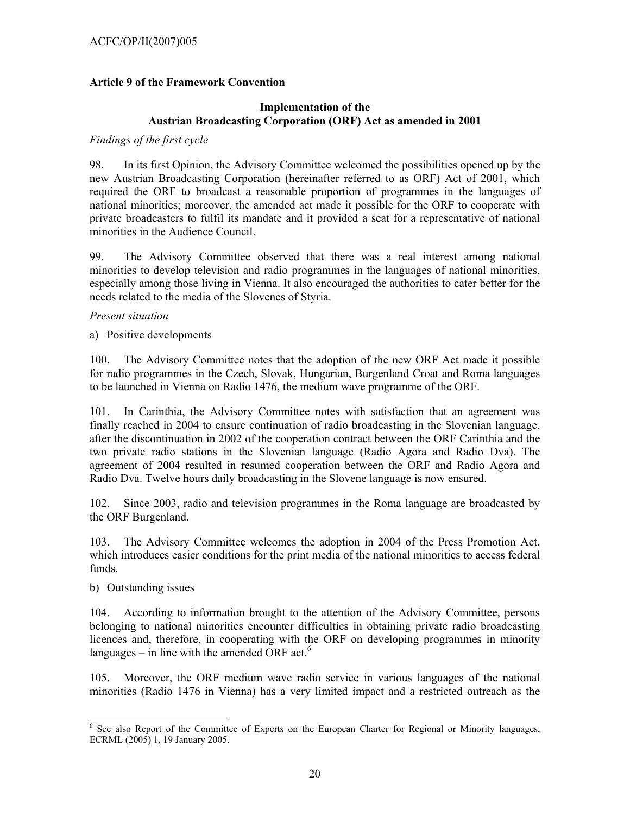## **Article 9 of the Framework Convention**

## **Implementation of the Austrian Broadcasting Corporation (ORF) Act as amended in 2001**

#### *Findings of the first cycle*

98. In its first Opinion, the Advisory Committee welcomed the possibilities opened up by the new Austrian Broadcasting Corporation (hereinafter referred to as ORF) Act of 2001, which required the ORF to broadcast a reasonable proportion of programmes in the languages of national minorities; moreover, the amended act made it possible for the ORF to cooperate with private broadcasters to fulfil its mandate and it provided a seat for a representative of national minorities in the Audience Council.

99. The Advisory Committee observed that there was a real interest among national minorities to develop television and radio programmes in the languages of national minorities, especially among those living in Vienna. It also encouraged the authorities to cater better for the needs related to the media of the Slovenes of Styria.

#### *Present situation*

a) Positive developments

100. The Advisory Committee notes that the adoption of the new ORF Act made it possible for radio programmes in the Czech, Slovak, Hungarian, Burgenland Croat and Roma languages to be launched in Vienna on Radio 1476, the medium wave programme of the ORF.

101. In Carinthia, the Advisory Committee notes with satisfaction that an agreement was finally reached in 2004 to ensure continuation of radio broadcasting in the Slovenian language, after the discontinuation in 2002 of the cooperation contract between the ORF Carinthia and the two private radio stations in the Slovenian language (Radio Agora and Radio Dva). The agreement of 2004 resulted in resumed cooperation between the ORF and Radio Agora and Radio Dva. Twelve hours daily broadcasting in the Slovene language is now ensured.

102. Since 2003, radio and television programmes in the Roma language are broadcasted by the ORF Burgenland.

103. The Advisory Committee welcomes the adoption in 2004 of the Press Promotion Act, which introduces easier conditions for the print media of the national minorities to access federal funds.

b) Outstanding issues

104. According to information brought to the attention of the Advisory Committee, persons belonging to national minorities encounter difficulties in obtaining private radio broadcasting licences and, therefore, in cooperating with the ORF on developing programmes in minority languages – in line with the amended ORF act. $6$ 

105. Moreover, the ORF medium wave radio service in various languages of the national minorities (Radio 1476 in Vienna) has a very limited impact and a restricted outreach as the

<sup>&</sup>lt;sup>6</sup> See also Report of the Committee of Experts on the European Charter for Regional or Minority languages, ECRML (2005) 1, 19 January 2005.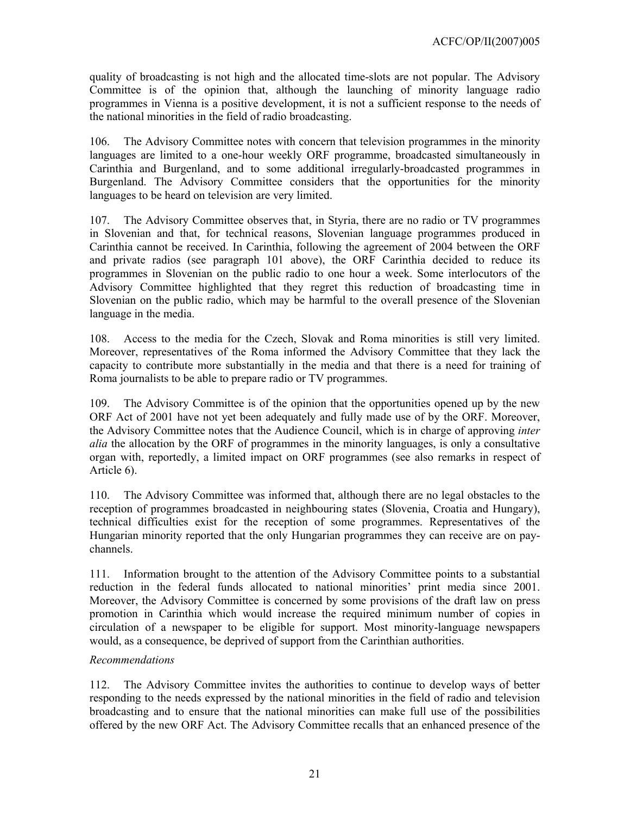quality of broadcasting is not high and the allocated time-slots are not popular. The Advisory Committee is of the opinion that, although the launching of minority language radio programmes in Vienna is a positive development, it is not a sufficient response to the needs of the national minorities in the field of radio broadcasting.

106. The Advisory Committee notes with concern that television programmes in the minority languages are limited to a one-hour weekly ORF programme, broadcasted simultaneously in Carinthia and Burgenland, and to some additional irregularly-broadcasted programmes in Burgenland. The Advisory Committee considers that the opportunities for the minority languages to be heard on television are very limited.

107. The Advisory Committee observes that, in Styria, there are no radio or TV programmes in Slovenian and that, for technical reasons, Slovenian language programmes produced in Carinthia cannot be received. In Carinthia, following the agreement of 2004 between the ORF and private radios (see paragraph 101 above), the ORF Carinthia decided to reduce its programmes in Slovenian on the public radio to one hour a week. Some interlocutors of the Advisory Committee highlighted that they regret this reduction of broadcasting time in Slovenian on the public radio, which may be harmful to the overall presence of the Slovenian language in the media.

108. Access to the media for the Czech, Slovak and Roma minorities is still very limited. Moreover, representatives of the Roma informed the Advisory Committee that they lack the capacity to contribute more substantially in the media and that there is a need for training of Roma journalists to be able to prepare radio or TV programmes.

109. The Advisory Committee is of the opinion that the opportunities opened up by the new ORF Act of 2001 have not yet been adequately and fully made use of by the ORF. Moreover, the Advisory Committee notes that the Audience Council, which is in charge of approving *inter alia* the allocation by the ORF of programmes in the minority languages, is only a consultative organ with, reportedly, a limited impact on ORF programmes (see also remarks in respect of Article 6).

110. The Advisory Committee was informed that, although there are no legal obstacles to the reception of programmes broadcasted in neighbouring states (Slovenia, Croatia and Hungary), technical difficulties exist for the reception of some programmes. Representatives of the Hungarian minority reported that the only Hungarian programmes they can receive are on paychannels.

111. Information brought to the attention of the Advisory Committee points to a substantial reduction in the federal funds allocated to national minorities' print media since 2001. Moreover, the Advisory Committee is concerned by some provisions of the draft law on press promotion in Carinthia which would increase the required minimum number of copies in circulation of a newspaper to be eligible for support. Most minority-language newspapers would, as a consequence, be deprived of support from the Carinthian authorities.

## *Recommendations*

112. The Advisory Committee invites the authorities to continue to develop ways of better responding to the needs expressed by the national minorities in the field of radio and television broadcasting and to ensure that the national minorities can make full use of the possibilities offered by the new ORF Act. The Advisory Committee recalls that an enhanced presence of the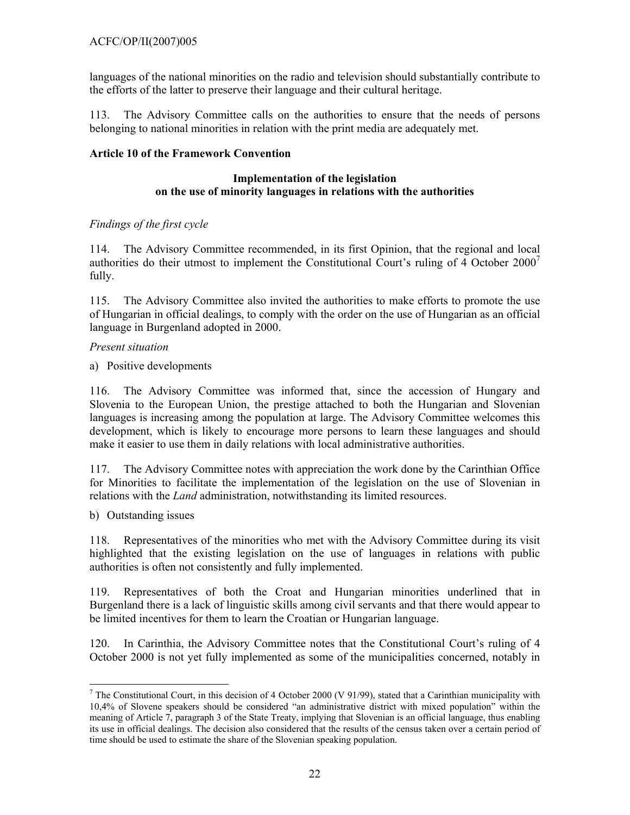languages of the national minorities on the radio and television should substantially contribute to the efforts of the latter to preserve their language and their cultural heritage.

113. The Advisory Committee calls on the authorities to ensure that the needs of persons belonging to national minorities in relation with the print media are adequately met.

## **Article 10 of the Framework Convention**

### **Implementation of the legislation on the use of minority languages in relations with the authorities**

## *Findings of the first cycle*

114. The Advisory Committee recommended, in its first Opinion, that the regional and local authorities do their utmost to implement the Constitutional Court's ruling of 4 October  $2000<sup>7</sup>$ fully.

115. The Advisory Committee also invited the authorities to make efforts to promote the use of Hungarian in official dealings, to comply with the order on the use of Hungarian as an official language in Burgenland adopted in 2000.

## *Present situation*

a) Positive developments

116. The Advisory Committee was informed that, since the accession of Hungary and Slovenia to the European Union, the prestige attached to both the Hungarian and Slovenian languages is increasing among the population at large. The Advisory Committee welcomes this development, which is likely to encourage more persons to learn these languages and should make it easier to use them in daily relations with local administrative authorities.

117. The Advisory Committee notes with appreciation the work done by the Carinthian Office for Minorities to facilitate the implementation of the legislation on the use of Slovenian in relations with the *Land* administration, notwithstanding its limited resources.

b) Outstanding issues

118. Representatives of the minorities who met with the Advisory Committee during its visit highlighted that the existing legislation on the use of languages in relations with public authorities is often not consistently and fully implemented.

119. Representatives of both the Croat and Hungarian minorities underlined that in Burgenland there is a lack of linguistic skills among civil servants and that there would appear to be limited incentives for them to learn the Croatian or Hungarian language.

120. In Carinthia, the Advisory Committee notes that the Constitutional Court's ruling of 4 October 2000 is not yet fully implemented as some of the municipalities concerned, notably in

 $\overline{\phantom{a}}$ <sup>7</sup> The Constitutional Court, in this decision of 4 October 2000 (V 91/99), stated that a Carinthian municipality with 10,4% of Slovene speakers should be considered "an administrative district with mixed population" within the meaning of Article 7, paragraph 3 of the State Treaty, implying that Slovenian is an official language, thus enabling its use in official dealings. The decision also considered that the results of the census taken over a certain period of time should be used to estimate the share of the Slovenian speaking population.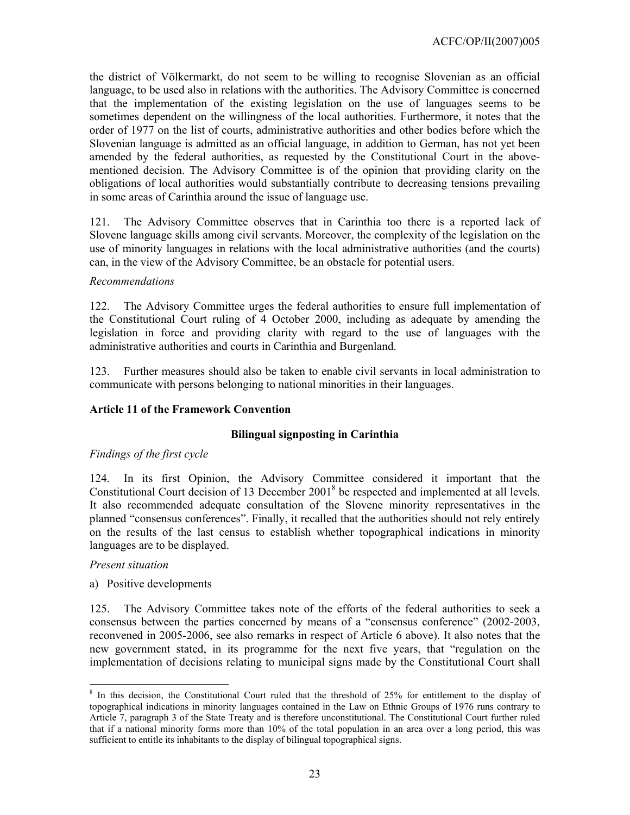the district of Völkermarkt, do not seem to be willing to recognise Slovenian as an official language, to be used also in relations with the authorities. The Advisory Committee is concerned that the implementation of the existing legislation on the use of languages seems to be sometimes dependent on the willingness of the local authorities. Furthermore, it notes that the order of 1977 on the list of courts, administrative authorities and other bodies before which the Slovenian language is admitted as an official language, in addition to German, has not yet been amended by the federal authorities, as requested by the Constitutional Court in the abovementioned decision. The Advisory Committee is of the opinion that providing clarity on the obligations of local authorities would substantially contribute to decreasing tensions prevailing in some areas of Carinthia around the issue of language use.

121. The Advisory Committee observes that in Carinthia too there is a reported lack of Slovene language skills among civil servants. Moreover, the complexity of the legislation on the use of minority languages in relations with the local administrative authorities (and the courts) can, in the view of the Advisory Committee, be an obstacle for potential users.

### *Recommendations*

122. The Advisory Committee urges the federal authorities to ensure full implementation of the Constitutional Court ruling of 4 October 2000, including as adequate by amending the legislation in force and providing clarity with regard to the use of languages with the administrative authorities and courts in Carinthia and Burgenland.

123. Further measures should also be taken to enable civil servants in local administration to communicate with persons belonging to national minorities in their languages.

## **Article 11 of the Framework Convention**

#### **Bilingual signposting in Carinthia**

## *Findings of the first cycle*

124. In its first Opinion, the Advisory Committee considered it important that the Constitutional Court decision of 13 December 2001<sup>8</sup> be respected and implemented at all levels. It also recommended adequate consultation of the Slovene minority representatives in the planned "consensus conferences". Finally, it recalled that the authorities should not rely entirely on the results of the last census to establish whether topographical indications in minority languages are to be displayed.

#### *Present situation*

a) Positive developments

125. The Advisory Committee takes note of the efforts of the federal authorities to seek a consensus between the parties concerned by means of a "consensus conference" (2002-2003, reconvened in 2005-2006, see also remarks in respect of Article 6 above). It also notes that the new government stated, in its programme for the next five years, that "regulation on the implementation of decisions relating to municipal signs made by the Constitutional Court shall

 $\overline{\phantom{a}}$ <sup>8</sup> In this decision, the Constitutional Court ruled that the threshold of 25% for entitlement to the display of topographical indications in minority languages contained in the Law on Ethnic Groups of 1976 runs contrary to Article 7, paragraph 3 of the State Treaty and is therefore unconstitutional. The Constitutional Court further ruled that if a national minority forms more than 10% of the total population in an area over a long period, this was sufficient to entitle its inhabitants to the display of bilingual topographical signs.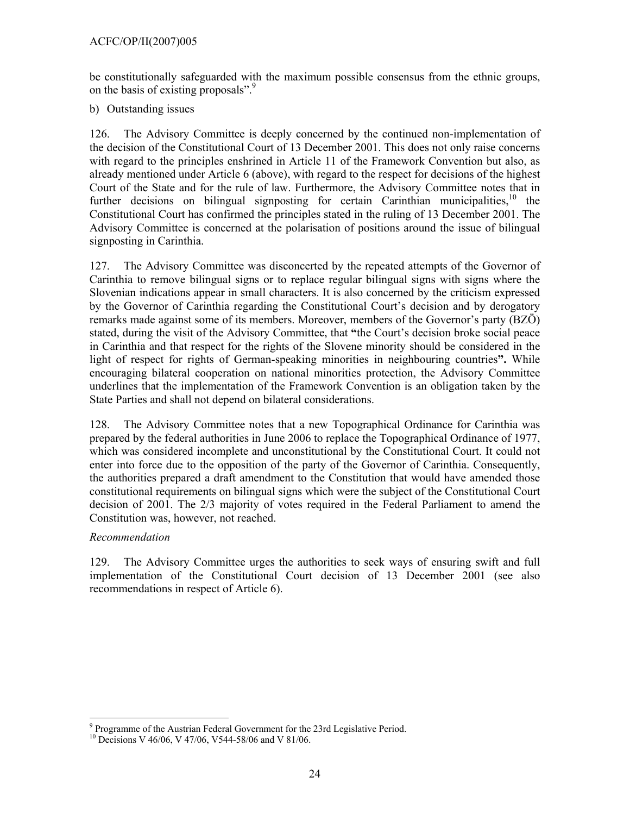be constitutionally safeguarded with the maximum possible consensus from the ethnic groups, on the basis of existing proposals".<sup>9</sup>

b) Outstanding issues

126. The Advisory Committee is deeply concerned by the continued non-implementation of the decision of the Constitutional Court of 13 December 2001. This does not only raise concerns with regard to the principles enshrined in Article 11 of the Framework Convention but also, as already mentioned under Article 6 (above), with regard to the respect for decisions of the highest Court of the State and for the rule of law. Furthermore, the Advisory Committee notes that in further decisions on bilingual signposting for certain Carinthian municipalities,  $10$  the Constitutional Court has confirmed the principles stated in the ruling of 13 December 2001. The Advisory Committee is concerned at the polarisation of positions around the issue of bilingual signposting in Carinthia.

127. The Advisory Committee was disconcerted by the repeated attempts of the Governor of Carinthia to remove bilingual signs or to replace regular bilingual signs with signs where the Slovenian indications appear in small characters. It is also concerned by the criticism expressed by the Governor of Carinthia regarding the Constitutional Court's decision and by derogatory remarks made against some of its members. Moreover, members of the Governor's party (BZÖ) stated, during the visit of the Advisory Committee, that **"**the Court's decision broke social peace in Carinthia and that respect for the rights of the Slovene minority should be considered in the light of respect for rights of German-speaking minorities in neighbouring countries**".** While encouraging bilateral cooperation on national minorities protection, the Advisory Committee underlines that the implementation of the Framework Convention is an obligation taken by the State Parties and shall not depend on bilateral considerations.

128. The Advisory Committee notes that a new Topographical Ordinance for Carinthia was prepared by the federal authorities in June 2006 to replace the Topographical Ordinance of 1977, which was considered incomplete and unconstitutional by the Constitutional Court. It could not enter into force due to the opposition of the party of the Governor of Carinthia. Consequently, the authorities prepared a draft amendment to the Constitution that would have amended those constitutional requirements on bilingual signs which were the subject of the Constitutional Court decision of 2001. The 2/3 majority of votes required in the Federal Parliament to amend the Constitution was, however, not reached.

## *Recommendation*

 $\overline{a}$ 

129. The Advisory Committee urges the authorities to seek ways of ensuring swift and full implementation of the Constitutional Court decision of 13 December 2001 (see also recommendations in respect of Article 6).

<sup>&</sup>lt;sup>9</sup> Programme of the Austrian Federal Government for the 23rd Legislative Period.

<sup>&</sup>lt;sup>10</sup> Decisions V 46/06, V 47/06, V544-58/06 and V 81/06.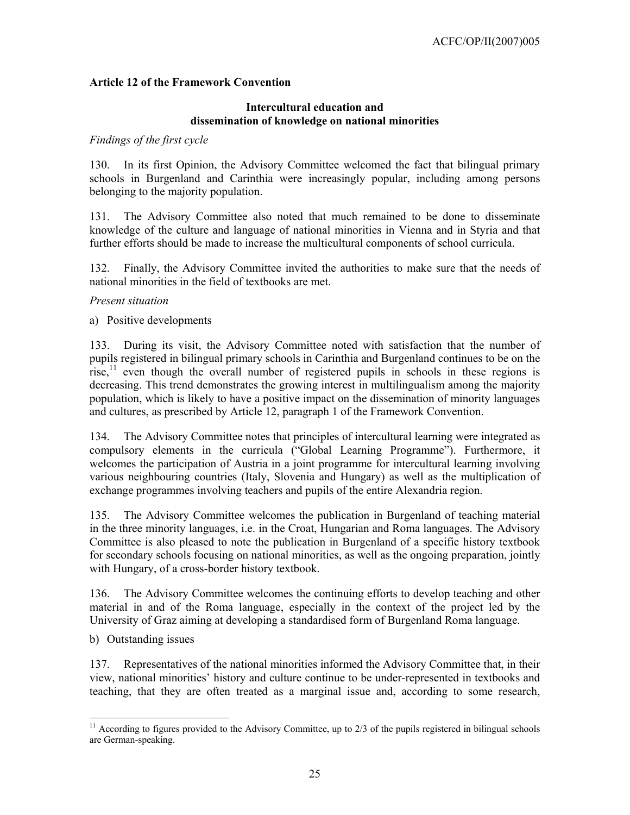## **Article 12 of the Framework Convention**

### **Intercultural education and dissemination of knowledge on national minorities**

#### *Findings of the first cycle*

130. In its first Opinion, the Advisory Committee welcomed the fact that bilingual primary schools in Burgenland and Carinthia were increasingly popular, including among persons belonging to the majority population.

131. The Advisory Committee also noted that much remained to be done to disseminate knowledge of the culture and language of national minorities in Vienna and in Styria and that further efforts should be made to increase the multicultural components of school curricula.

132. Finally, the Advisory Committee invited the authorities to make sure that the needs of national minorities in the field of textbooks are met.

#### *Present situation*

a) Positive developments

133. During its visit, the Advisory Committee noted with satisfaction that the number of pupils registered in bilingual primary schools in Carinthia and Burgenland continues to be on the rise, $<sup>11</sup>$  even though the overall number of registered pupils in schools in these regions is</sup> decreasing. This trend demonstrates the growing interest in multilingualism among the majority population, which is likely to have a positive impact on the dissemination of minority languages and cultures, as prescribed by Article 12, paragraph 1 of the Framework Convention.

134. The Advisory Committee notes that principles of intercultural learning were integrated as compulsory elements in the curricula ("Global Learning Programme"). Furthermore, it welcomes the participation of Austria in a joint programme for intercultural learning involving various neighbouring countries (Italy, Slovenia and Hungary) as well as the multiplication of exchange programmes involving teachers and pupils of the entire Alexandria region.

135. The Advisory Committee welcomes the publication in Burgenland of teaching material in the three minority languages, i.e. in the Croat, Hungarian and Roma languages. The Advisory Committee is also pleased to note the publication in Burgenland of a specific history textbook for secondary schools focusing on national minorities, as well as the ongoing preparation, jointly with Hungary, of a cross-border history textbook.

136. The Advisory Committee welcomes the continuing efforts to develop teaching and other material in and of the Roma language, especially in the context of the project led by the University of Graz aiming at developing a standardised form of Burgenland Roma language.

b) Outstanding issues

 $\overline{a}$ 

137. Representatives of the national minorities informed the Advisory Committee that, in their view, national minorities' history and culture continue to be under-represented in textbooks and teaching, that they are often treated as a marginal issue and, according to some research,

 $11$  According to figures provided to the Advisory Committee, up to  $2/3$  of the pupils registered in bilingual schools are German-speaking.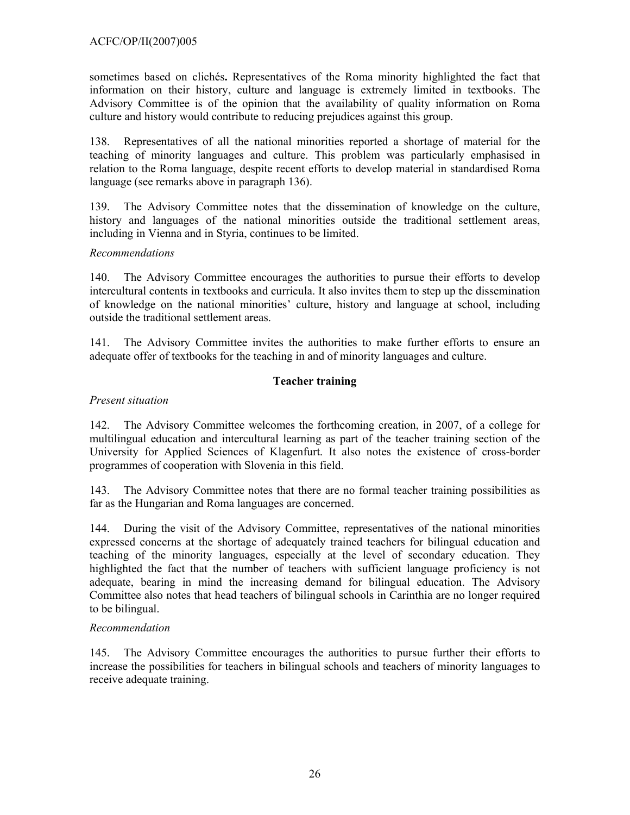sometimes based on clichés**.** Representatives of the Roma minority highlighted the fact that information on their history, culture and language is extremely limited in textbooks. The Advisory Committee is of the opinion that the availability of quality information on Roma culture and history would contribute to reducing prejudices against this group.

138. Representatives of all the national minorities reported a shortage of material for the teaching of minority languages and culture. This problem was particularly emphasised in relation to the Roma language, despite recent efforts to develop material in standardised Roma language (see remarks above in paragraph 136).

139. The Advisory Committee notes that the dissemination of knowledge on the culture, history and languages of the national minorities outside the traditional settlement areas, including in Vienna and in Styria, continues to be limited.

## *Recommendations*

140. The Advisory Committee encourages the authorities to pursue their efforts to develop intercultural contents in textbooks and curricula. It also invites them to step up the dissemination of knowledge on the national minorities' culture, history and language at school, including outside the traditional settlement areas.

141. The Advisory Committee invites the authorities to make further efforts to ensure an adequate offer of textbooks for the teaching in and of minority languages and culture.

## **Teacher training**

## *Present situation*

142. The Advisory Committee welcomes the forthcoming creation, in 2007, of a college for multilingual education and intercultural learning as part of the teacher training section of the University for Applied Sciences of Klagenfurt. It also notes the existence of cross-border programmes of cooperation with Slovenia in this field.

143. The Advisory Committee notes that there are no formal teacher training possibilities as far as the Hungarian and Roma languages are concerned.

144. During the visit of the Advisory Committee, representatives of the national minorities expressed concerns at the shortage of adequately trained teachers for bilingual education and teaching of the minority languages, especially at the level of secondary education. They highlighted the fact that the number of teachers with sufficient language proficiency is not adequate, bearing in mind the increasing demand for bilingual education. The Advisory Committee also notes that head teachers of bilingual schools in Carinthia are no longer required to be bilingual.

## *Recommendation*

145. The Advisory Committee encourages the authorities to pursue further their efforts to increase the possibilities for teachers in bilingual schools and teachers of minority languages to receive adequate training.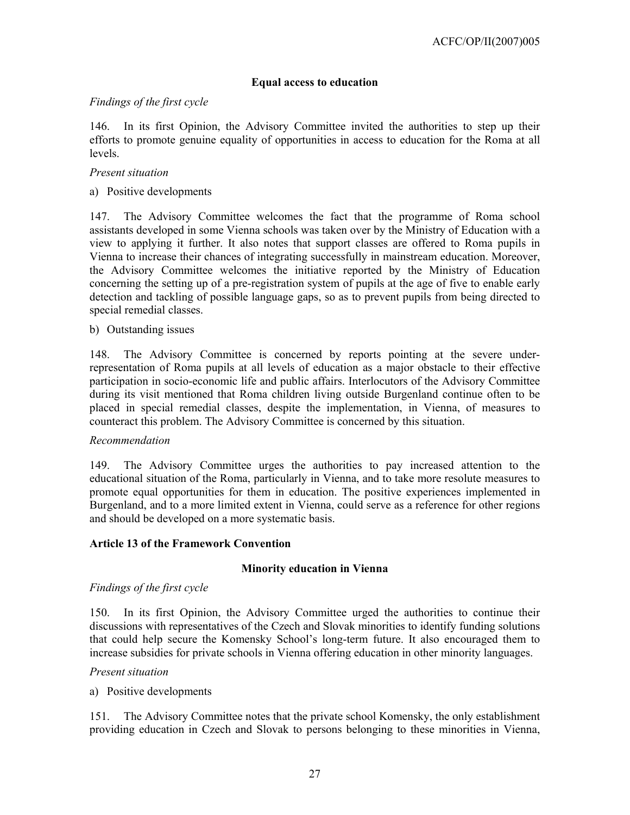## **Equal access to education**

## *Findings of the first cycle*

146. In its first Opinion, the Advisory Committee invited the authorities to step up their efforts to promote genuine equality of opportunities in access to education for the Roma at all levels.

### *Present situation*

a) Positive developments

147. The Advisory Committee welcomes the fact that the programme of Roma school assistants developed in some Vienna schools was taken over by the Ministry of Education with a view to applying it further. It also notes that support classes are offered to Roma pupils in Vienna to increase their chances of integrating successfully in mainstream education. Moreover, the Advisory Committee welcomes the initiative reported by the Ministry of Education concerning the setting up of a pre-registration system of pupils at the age of five to enable early detection and tackling of possible language gaps, so as to prevent pupils from being directed to special remedial classes.

b) Outstanding issues

148. The Advisory Committee is concerned by reports pointing at the severe underrepresentation of Roma pupils at all levels of education as a major obstacle to their effective participation in socio-economic life and public affairs. Interlocutors of the Advisory Committee during its visit mentioned that Roma children living outside Burgenland continue often to be placed in special remedial classes, despite the implementation, in Vienna, of measures to counteract this problem. The Advisory Committee is concerned by this situation.

#### *Recommendation*

149. The Advisory Committee urges the authorities to pay increased attention to the educational situation of the Roma, particularly in Vienna, and to take more resolute measures to promote equal opportunities for them in education. The positive experiences implemented in Burgenland, and to a more limited extent in Vienna, could serve as a reference for other regions and should be developed on a more systematic basis.

#### **Article 13 of the Framework Convention**

#### **Minority education in Vienna**

### *Findings of the first cycle*

150. In its first Opinion, the Advisory Committee urged the authorities to continue their discussions with representatives of the Czech and Slovak minorities to identify funding solutions that could help secure the Komensky School's long-term future. It also encouraged them to increase subsidies for private schools in Vienna offering education in other minority languages.

#### *Present situation*

a) Positive developments

151. The Advisory Committee notes that the private school Komensky, the only establishment providing education in Czech and Slovak to persons belonging to these minorities in Vienna,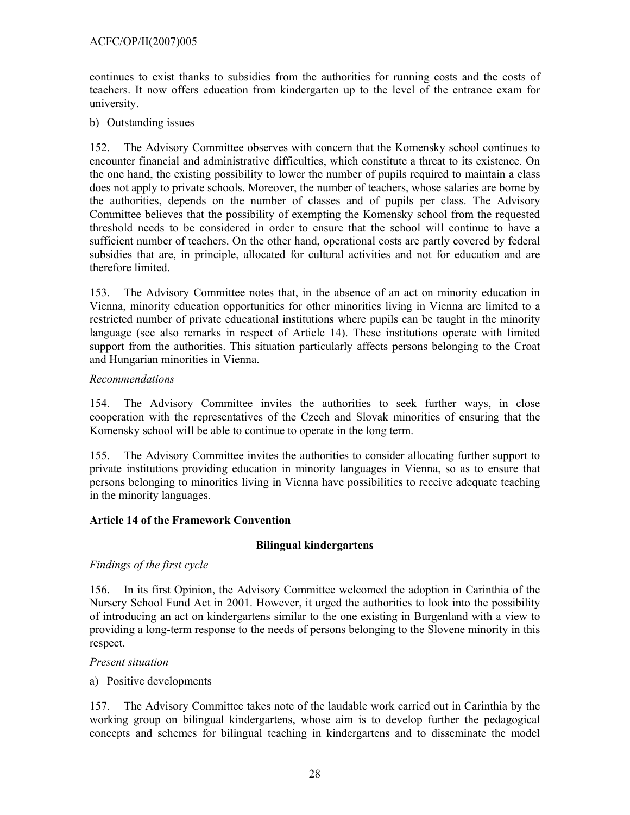## ACFC/OP/II(2007)005

continues to exist thanks to subsidies from the authorities for running costs and the costs of teachers. It now offers education from kindergarten up to the level of the entrance exam for university.

b) Outstanding issues

152. The Advisory Committee observes with concern that the Komensky school continues to encounter financial and administrative difficulties, which constitute a threat to its existence. On the one hand, the existing possibility to lower the number of pupils required to maintain a class does not apply to private schools. Moreover, the number of teachers, whose salaries are borne by the authorities, depends on the number of classes and of pupils per class. The Advisory Committee believes that the possibility of exempting the Komensky school from the requested threshold needs to be considered in order to ensure that the school will continue to have a sufficient number of teachers. On the other hand, operational costs are partly covered by federal subsidies that are, in principle, allocated for cultural activities and not for education and are therefore limited.

153. The Advisory Committee notes that, in the absence of an act on minority education in Vienna, minority education opportunities for other minorities living in Vienna are limited to a restricted number of private educational institutions where pupils can be taught in the minority language (see also remarks in respect of Article 14). These institutions operate with limited support from the authorities. This situation particularly affects persons belonging to the Croat and Hungarian minorities in Vienna.

### *Recommendations*

154. The Advisory Committee invites the authorities to seek further ways, in close cooperation with the representatives of the Czech and Slovak minorities of ensuring that the Komensky school will be able to continue to operate in the long term.

155. The Advisory Committee invites the authorities to consider allocating further support to private institutions providing education in minority languages in Vienna, so as to ensure that persons belonging to minorities living in Vienna have possibilities to receive adequate teaching in the minority languages.

## **Article 14 of the Framework Convention**

## **Bilingual kindergartens**

## *Findings of the first cycle*

156. In its first Opinion, the Advisory Committee welcomed the adoption in Carinthia of the Nursery School Fund Act in 2001. However, it urged the authorities to look into the possibility of introducing an act on kindergartens similar to the one existing in Burgenland with a view to providing a long-term response to the needs of persons belonging to the Slovene minority in this respect.

#### *Present situation*

a) Positive developments

157. The Advisory Committee takes note of the laudable work carried out in Carinthia by the working group on bilingual kindergartens, whose aim is to develop further the pedagogical concepts and schemes for bilingual teaching in kindergartens and to disseminate the model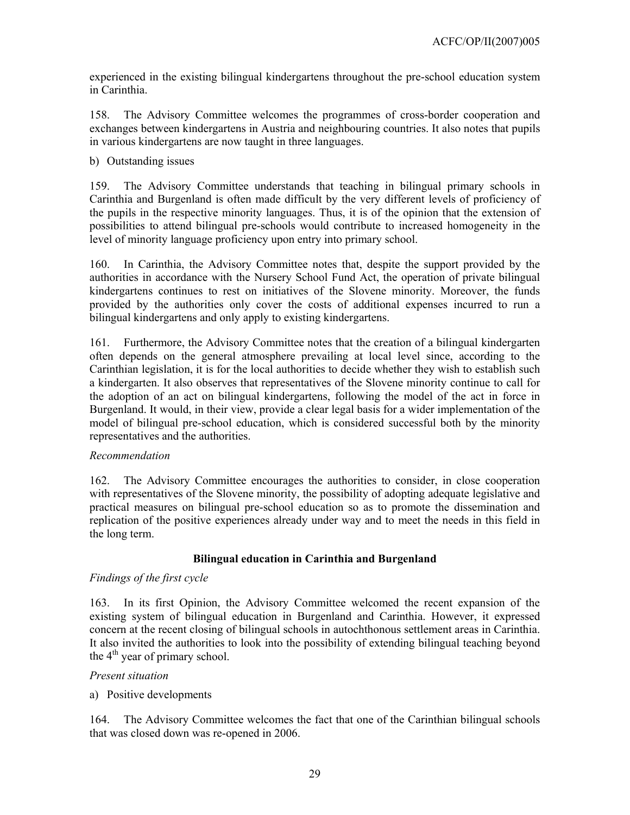experienced in the existing bilingual kindergartens throughout the pre-school education system in Carinthia.

158. The Advisory Committee welcomes the programmes of cross-border cooperation and exchanges between kindergartens in Austria and neighbouring countries. It also notes that pupils in various kindergartens are now taught in three languages.

b) Outstanding issues

159. The Advisory Committee understands that teaching in bilingual primary schools in Carinthia and Burgenland is often made difficult by the very different levels of proficiency of the pupils in the respective minority languages. Thus, it is of the opinion that the extension of possibilities to attend bilingual pre-schools would contribute to increased homogeneity in the level of minority language proficiency upon entry into primary school.

160. In Carinthia, the Advisory Committee notes that, despite the support provided by the authorities in accordance with the Nursery School Fund Act, the operation of private bilingual kindergartens continues to rest on initiatives of the Slovene minority. Moreover, the funds provided by the authorities only cover the costs of additional expenses incurred to run a bilingual kindergartens and only apply to existing kindergartens.

161. Furthermore, the Advisory Committee notes that the creation of a bilingual kindergarten often depends on the general atmosphere prevailing at local level since, according to the Carinthian legislation, it is for the local authorities to decide whether they wish to establish such a kindergarten. It also observes that representatives of the Slovene minority continue to call for the adoption of an act on bilingual kindergartens, following the model of the act in force in Burgenland. It would, in their view, provide a clear legal basis for a wider implementation of the model of bilingual pre-school education, which is considered successful both by the minority representatives and the authorities.

## *Recommendation*

162. The Advisory Committee encourages the authorities to consider, in close cooperation with representatives of the Slovene minority, the possibility of adopting adequate legislative and practical measures on bilingual pre-school education so as to promote the dissemination and replication of the positive experiences already under way and to meet the needs in this field in the long term.

## **Bilingual education in Carinthia and Burgenland**

## *Findings of the first cycle*

163. In its first Opinion, the Advisory Committee welcomed the recent expansion of the existing system of bilingual education in Burgenland and Carinthia. However, it expressed concern at the recent closing of bilingual schools in autochthonous settlement areas in Carinthia. It also invited the authorities to look into the possibility of extending bilingual teaching beyond the  $4<sup>th</sup>$  year of primary school.

## *Present situation*

## a) Positive developments

164. The Advisory Committee welcomes the fact that one of the Carinthian bilingual schools that was closed down was re-opened in 2006.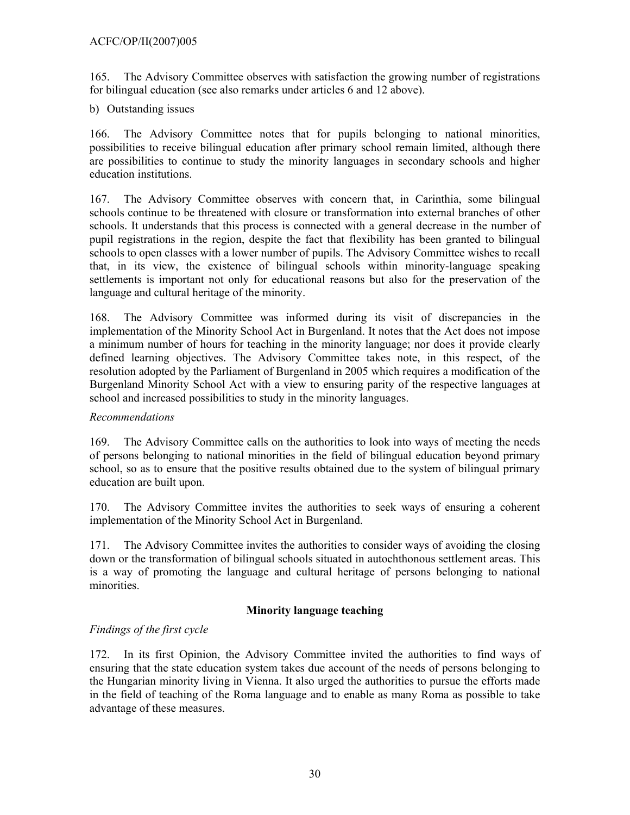165. The Advisory Committee observes with satisfaction the growing number of registrations for bilingual education (see also remarks under articles 6 and 12 above).

b) Outstanding issues

166. The Advisory Committee notes that for pupils belonging to national minorities, possibilities to receive bilingual education after primary school remain limited, although there are possibilities to continue to study the minority languages in secondary schools and higher education institutions.

167. The Advisory Committee observes with concern that, in Carinthia, some bilingual schools continue to be threatened with closure or transformation into external branches of other schools. It understands that this process is connected with a general decrease in the number of pupil registrations in the region, despite the fact that flexibility has been granted to bilingual schools to open classes with a lower number of pupils. The Advisory Committee wishes to recall that, in its view, the existence of bilingual schools within minority-language speaking settlements is important not only for educational reasons but also for the preservation of the language and cultural heritage of the minority.

168. The Advisory Committee was informed during its visit of discrepancies in the implementation of the Minority School Act in Burgenland. It notes that the Act does not impose a minimum number of hours for teaching in the minority language; nor does it provide clearly defined learning objectives. The Advisory Committee takes note, in this respect, of the resolution adopted by the Parliament of Burgenland in 2005 which requires a modification of the Burgenland Minority School Act with a view to ensuring parity of the respective languages at school and increased possibilities to study in the minority languages.

## *Recommendations*

169. The Advisory Committee calls on the authorities to look into ways of meeting the needs of persons belonging to national minorities in the field of bilingual education beyond primary school, so as to ensure that the positive results obtained due to the system of bilingual primary education are built upon.

170. The Advisory Committee invites the authorities to seek ways of ensuring a coherent implementation of the Minority School Act in Burgenland.

171. The Advisory Committee invites the authorities to consider ways of avoiding the closing down or the transformation of bilingual schools situated in autochthonous settlement areas. This is a way of promoting the language and cultural heritage of persons belonging to national minorities.

## **Minority language teaching**

## *Findings of the first cycle*

172. In its first Opinion, the Advisory Committee invited the authorities to find ways of ensuring that the state education system takes due account of the needs of persons belonging to the Hungarian minority living in Vienna. It also urged the authorities to pursue the efforts made in the field of teaching of the Roma language and to enable as many Roma as possible to take advantage of these measures.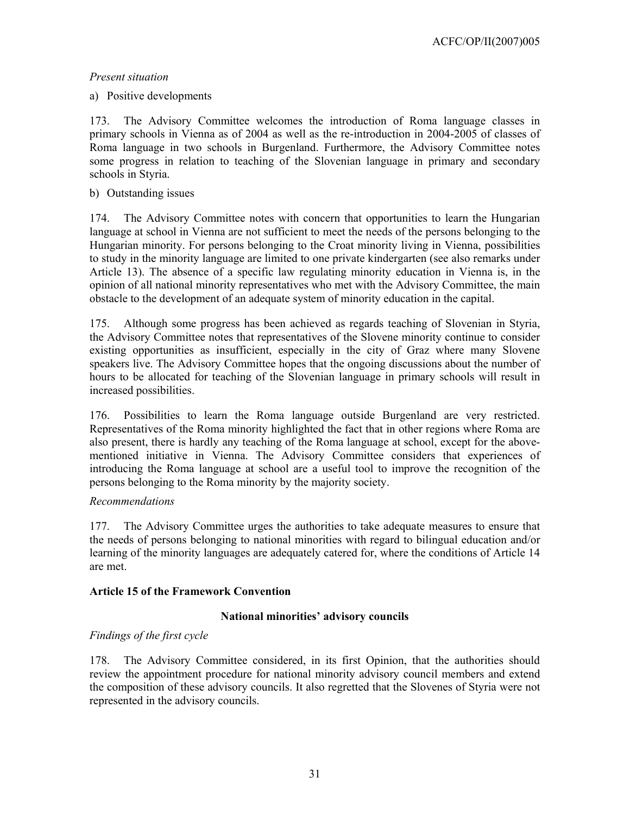## a) Positive developments

173. The Advisory Committee welcomes the introduction of Roma language classes in primary schools in Vienna as of 2004 as well as the re-introduction in 2004-2005 of classes of Roma language in two schools in Burgenland. Furthermore, the Advisory Committee notes some progress in relation to teaching of the Slovenian language in primary and secondary schools in Styria.

### b) Outstanding issues

174. The Advisory Committee notes with concern that opportunities to learn the Hungarian language at school in Vienna are not sufficient to meet the needs of the persons belonging to the Hungarian minority. For persons belonging to the Croat minority living in Vienna, possibilities to study in the minority language are limited to one private kindergarten (see also remarks under Article 13). The absence of a specific law regulating minority education in Vienna is, in the opinion of all national minority representatives who met with the Advisory Committee, the main obstacle to the development of an adequate system of minority education in the capital.

175. Although some progress has been achieved as regards teaching of Slovenian in Styria, the Advisory Committee notes that representatives of the Slovene minority continue to consider existing opportunities as insufficient, especially in the city of Graz where many Slovene speakers live. The Advisory Committee hopes that the ongoing discussions about the number of hours to be allocated for teaching of the Slovenian language in primary schools will result in increased possibilities.

176. Possibilities to learn the Roma language outside Burgenland are very restricted. Representatives of the Roma minority highlighted the fact that in other regions where Roma are also present, there is hardly any teaching of the Roma language at school, except for the abovementioned initiative in Vienna. The Advisory Committee considers that experiences of introducing the Roma language at school are a useful tool to improve the recognition of the persons belonging to the Roma minority by the majority society.

## *Recommendations*

177. The Advisory Committee urges the authorities to take adequate measures to ensure that the needs of persons belonging to national minorities with regard to bilingual education and/or learning of the minority languages are adequately catered for, where the conditions of Article 14 are met.

## **Article 15 of the Framework Convention**

## **National minorities' advisory councils**

## *Findings of the first cycle*

178. The Advisory Committee considered, in its first Opinion, that the authorities should review the appointment procedure for national minority advisory council members and extend the composition of these advisory councils. It also regretted that the Slovenes of Styria were not represented in the advisory councils.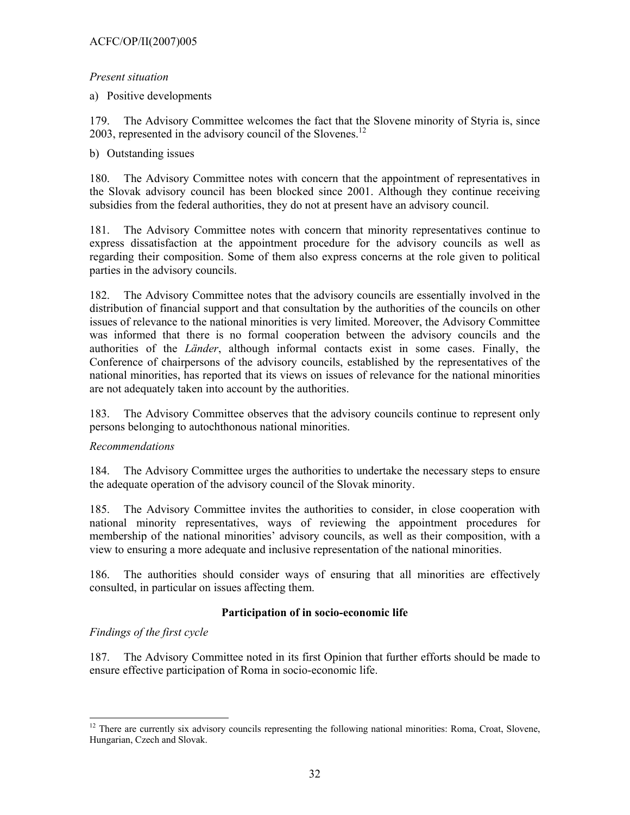a) Positive developments

179. The Advisory Committee welcomes the fact that the Slovene minority of Styria is, since 2003, represented in the advisory council of the Slovenes.<sup>12</sup>

## b) Outstanding issues

180. The Advisory Committee notes with concern that the appointment of representatives in the Slovak advisory council has been blocked since 2001. Although they continue receiving subsidies from the federal authorities, they do not at present have an advisory council.

181. The Advisory Committee notes with concern that minority representatives continue to express dissatisfaction at the appointment procedure for the advisory councils as well as regarding their composition. Some of them also express concerns at the role given to political parties in the advisory councils.

182. The Advisory Committee notes that the advisory councils are essentially involved in the distribution of financial support and that consultation by the authorities of the councils on other issues of relevance to the national minorities is very limited. Moreover, the Advisory Committee was informed that there is no formal cooperation between the advisory councils and the authorities of the *Länder*, although informal contacts exist in some cases. Finally, the Conference of chairpersons of the advisory councils, established by the representatives of the national minorities, has reported that its views on issues of relevance for the national minorities are not adequately taken into account by the authorities.

183. The Advisory Committee observes that the advisory councils continue to represent only persons belonging to autochthonous national minorities.

## *Recommendations*

184. The Advisory Committee urges the authorities to undertake the necessary steps to ensure the adequate operation of the advisory council of the Slovak minority.

185. The Advisory Committee invites the authorities to consider, in close cooperation with national minority representatives, ways of reviewing the appointment procedures for membership of the national minorities' advisory councils, as well as their composition, with a view to ensuring a more adequate and inclusive representation of the national minorities.

186. The authorities should consider ways of ensuring that all minorities are effectively consulted, in particular on issues affecting them.

## **Participation of in socio-economic life**

*Findings of the first cycle* 

 $\overline{a}$ 

187. The Advisory Committee noted in its first Opinion that further efforts should be made to ensure effective participation of Roma in socio-economic life.

<sup>&</sup>lt;sup>12</sup> There are currently six advisory councils representing the following national minorities: Roma, Croat, Slovene, Hungarian, Czech and Slovak.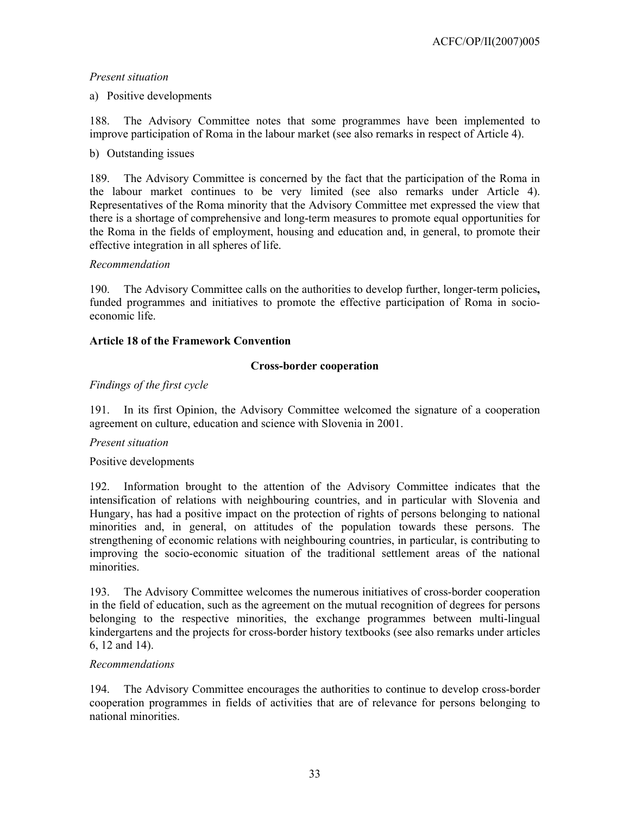### a) Positive developments

188. The Advisory Committee notes that some programmes have been implemented to improve participation of Roma in the labour market (see also remarks in respect of Article 4).

### b) Outstanding issues

189. The Advisory Committee is concerned by the fact that the participation of the Roma in the labour market continues to be very limited (see also remarks under Article 4). Representatives of the Roma minority that the Advisory Committee met expressed the view that there is a shortage of comprehensive and long-term measures to promote equal opportunities for the Roma in the fields of employment, housing and education and, in general, to promote their effective integration in all spheres of life.

### *Recommendation*

190. The Advisory Committee calls on the authorities to develop further, longer-term policies**,**  funded programmes and initiatives to promote the effective participation of Roma in socioeconomic life.

### **Article 18 of the Framework Convention**

### **Cross-border cooperation**

## *Findings of the first cycle*

191. In its first Opinion, the Advisory Committee welcomed the signature of a cooperation agreement on culture, education and science with Slovenia in 2001.

## *Present situation*

## Positive developments

192. Information brought to the attention of the Advisory Committee indicates that the intensification of relations with neighbouring countries, and in particular with Slovenia and Hungary, has had a positive impact on the protection of rights of persons belonging to national minorities and, in general, on attitudes of the population towards these persons. The strengthening of economic relations with neighbouring countries, in particular, is contributing to improving the socio-economic situation of the traditional settlement areas of the national minorities.

193. The Advisory Committee welcomes the numerous initiatives of cross-border cooperation in the field of education, such as the agreement on the mutual recognition of degrees for persons belonging to the respective minorities, the exchange programmes between multi-lingual kindergartens and the projects for cross-border history textbooks (see also remarks under articles 6, 12 and 14).

#### *Recommendations*

194. The Advisory Committee encourages the authorities to continue to develop cross-border cooperation programmes in fields of activities that are of relevance for persons belonging to national minorities.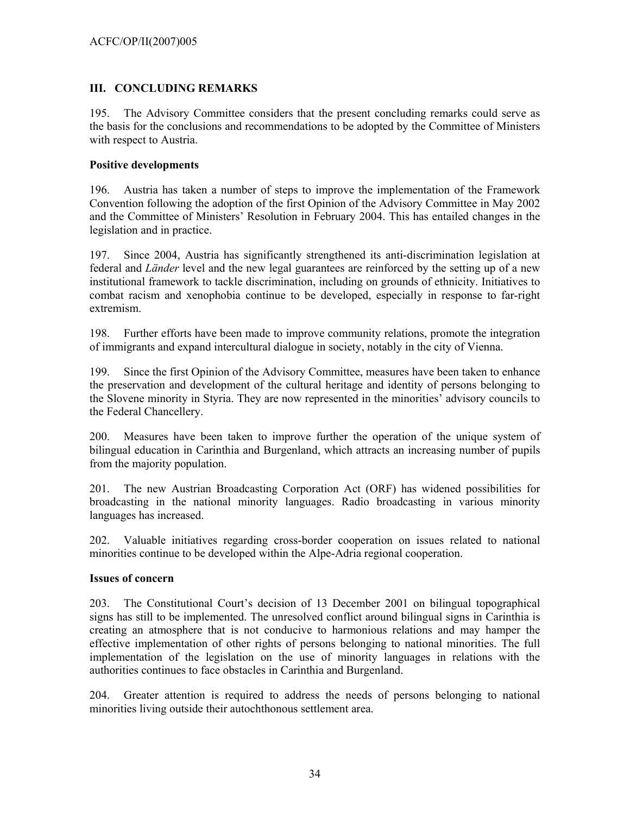## **III. CONCLUDING REMARKS**

195. The Advisory Committee considers that the present concluding remarks could serve as the basis for the conclusions and recommendations to be adopted by the Committee of Ministers with respect to Austria.

## **Positive developments**

196. Austria has taken a number of steps to improve the implementation of the Framework Convention following the adoption of the first Opinion of the Advisory Committee in May 2002 and the Committee of Ministers' Resolution in February 2004. This has entailed changes in the legislation and in practice.

197. Since 2004, Austria has significantly strengthened its anti-discrimination legislation at federal and *Länder* level and the new legal guarantees are reinforced by the setting up of a new institutional framework to tackle discrimination, including on grounds of ethnicity. Initiatives to combat racism and xenophobia continue to be developed, especially in response to far-right extremism.

198. Further efforts have been made to improve community relations, promote the integration of immigrants and expand intercultural dialogue in society, notably in the city of Vienna.

199. Since the first Opinion of the Advisory Committee, measures have been taken to enhance the preservation and development of the cultural heritage and identity of persons belonging to the Slovene minority in Styria. They are now represented in the minorities' advisory councils to the Federal Chancellery.

200. Measures have been taken to improve further the operation of the unique system of bilingual education in Carinthia and Burgenland, which attracts an increasing number of pupils from the majority population.

201. The new Austrian Broadcasting Corporation Act (ORF) has widened possibilities for broadcasting in the national minority languages. Radio broadcasting in various minority languages has increased.

202. Valuable initiatives regarding cross-border cooperation on issues related to national minorities continue to be developed within the Alpe-Adria regional cooperation.

## **Issues of concern**

203. The Constitutional Court's decision of 13 December 2001 on bilingual topographical signs has still to be implemented. The unresolved conflict around bilingual signs in Carinthia is creating an atmosphere that is not conducive to harmonious relations and may hamper the effective implementation of other rights of persons belonging to national minorities. The full implementation of the legislation on the use of minority languages in relations with the authorities continues to face obstacles in Carinthia and Burgenland.

204. Greater attention is required to address the needs of persons belonging to national minorities living outside their autochthonous settlement area.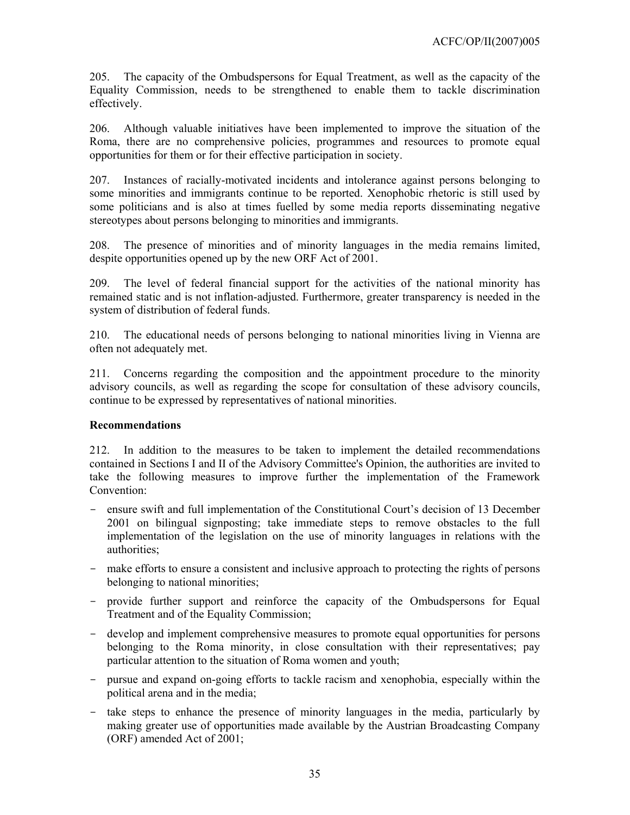205. The capacity of the Ombudspersons for Equal Treatment, as well as the capacity of the Equality Commission, needs to be strengthened to enable them to tackle discrimination effectively.

206. Although valuable initiatives have been implemented to improve the situation of the Roma, there are no comprehensive policies, programmes and resources to promote equal opportunities for them or for their effective participation in society.

207. Instances of racially-motivated incidents and intolerance against persons belonging to some minorities and immigrants continue to be reported. Xenophobic rhetoric is still used by some politicians and is also at times fuelled by some media reports disseminating negative stereotypes about persons belonging to minorities and immigrants.

208. The presence of minorities and of minority languages in the media remains limited, despite opportunities opened up by the new ORF Act of 2001.

209. The level of federal financial support for the activities of the national minority has remained static and is not inflation-adjusted. Furthermore, greater transparency is needed in the system of distribution of federal funds.

210. The educational needs of persons belonging to national minorities living in Vienna are often not adequately met.

211. Concerns regarding the composition and the appointment procedure to the minority advisory councils, as well as regarding the scope for consultation of these advisory councils, continue to be expressed by representatives of national minorities.

## **Recommendations**

212. In addition to the measures to be taken to implement the detailed recommendations contained in Sections I and II of the Advisory Committee's Opinion, the authorities are invited to take the following measures to improve further the implementation of the Framework Convention:

- ensure swift and full implementation of the Constitutional Court's decision of 13 December 2001 on bilingual signposting; take immediate steps to remove obstacles to the full implementation of the legislation on the use of minority languages in relations with the authorities;
- make efforts to ensure a consistent and inclusive approach to protecting the rights of persons belonging to national minorities;
- provide further support and reinforce the capacity of the Ombudspersons for Equal Treatment and of the Equality Commission;
- develop and implement comprehensive measures to promote equal opportunities for persons belonging to the Roma minority, in close consultation with their representatives; pay particular attention to the situation of Roma women and youth;
- pursue and expand on-going efforts to tackle racism and xenophobia, especially within the political arena and in the media;
- take steps to enhance the presence of minority languages in the media, particularly by making greater use of opportunities made available by the Austrian Broadcasting Company (ORF) amended Act of 2001;